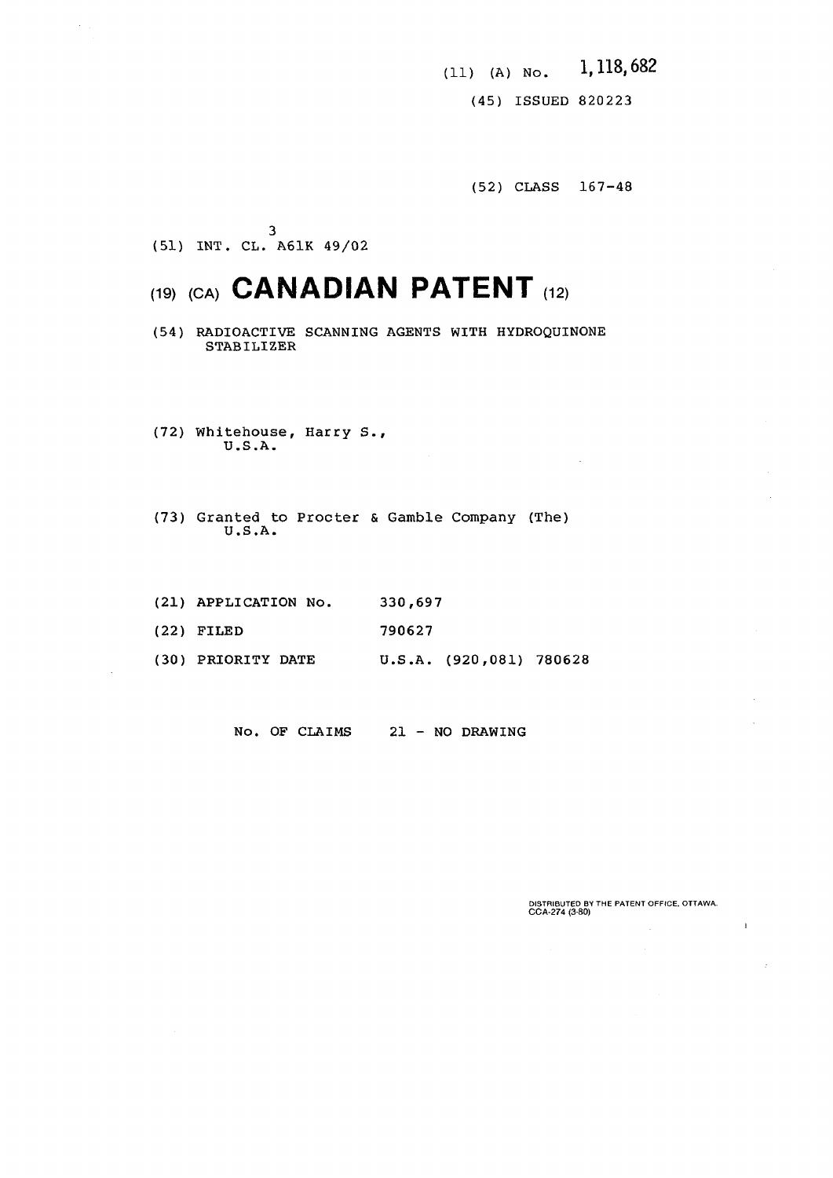(11) (A) No. 1,118,682

(45) ISSUED 820223

(52) CLASS 167-48

3 (51) INT. CL. A61K 49/02

# **(19, ,CA> CANADIAN PATENT (,2>**

- (54) RADIOACTIVE SCANNING AGENTS WITH HYDROQUINONE STABILIZER
- (72) Whitehouse, Harry S., U.S.A.
- (73) Granted to Procter & Gamble Company (The) U.S.A.
- (21) APPLICATION No. 330,697
- (22) FILED 790627
- (30) PRIORITY DATE U.S.A. (920,081) 780628

No. OF CLAIMS 21 - NO DRAWING

**DISTRIBUTED BY THE PATENT OFFICE. OTTAWA. CCA-27 4 (3-80)** 

 $\mathbf{1}$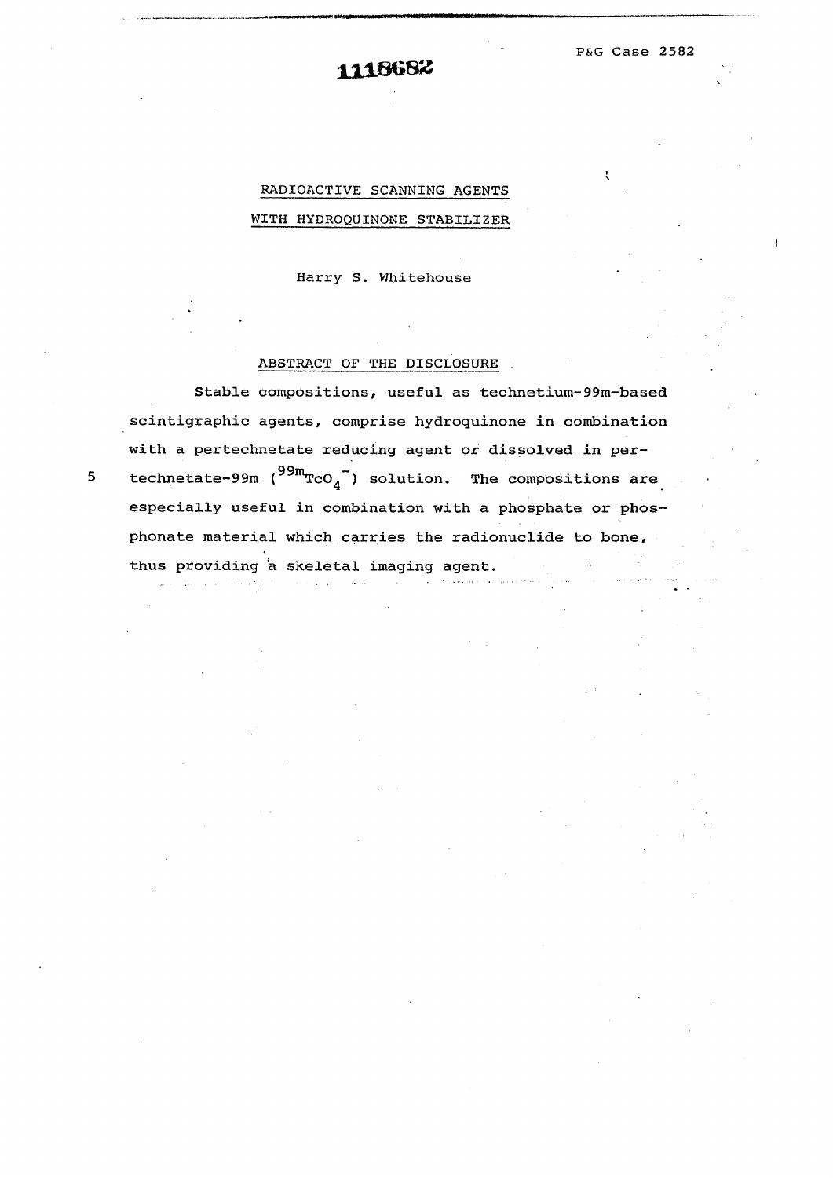P&G Case 2582

## RADIOACTIVE SCANNING AGENTS WITH HYDROQUINONE STABILIZER

Harry S. Whitehouse

#### ABSTRACT OF THE DISCLOSURE

Stable compositions, useful as technetium-99m-based scintigraphic agents, comprise hydroguinone in combination with a pertechnetate reducing agent or dissolved in per technetate-99m  $($ <sup>99m</sup>TcO<sub>4</sub><sup>-</sup> $)$  solution. The compositions are especially useful in combination with a phosphate or phosphonate material which carries the radionuclide to bone, thus providing a skeletal imaging agent. thus providing a skeletal imaging agent.

5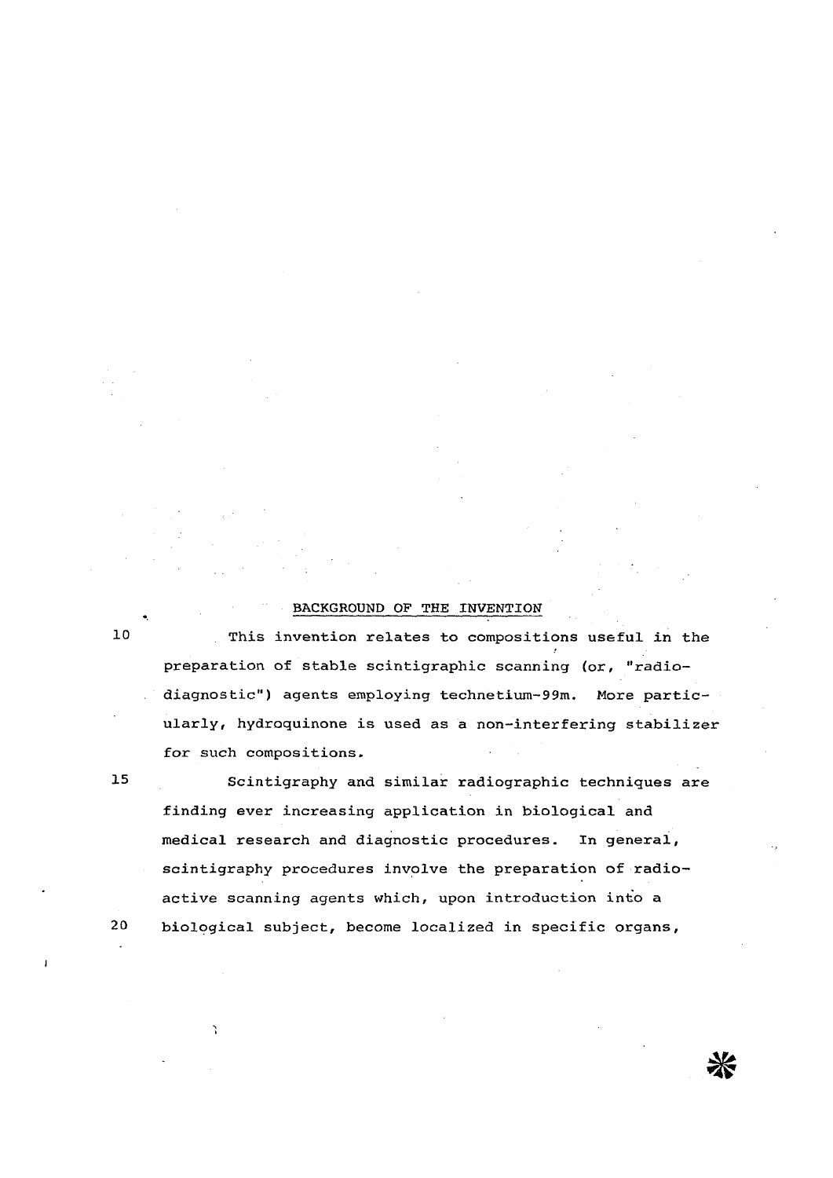#### BACKGROUND OF THE INVENTION

 $10$ 

This invention relates to compositions useful in the preparation of stable scintigraphic scanning (or, "radiodiagnostic") agents employing technetium-99m. More particularly, hydroquinone is used as a non-interfering stabilizer for such compositions.

 $15$ 

Scintigraphy and similar radiographic techniques are finding ever increasing application in biological and medical research and diagnostic procedures. In general, scintigraphy procedures involve the preparation of radioactive scanning agents which, upon introduction into a biological subject, become localized in specific organs,

 $20$ 

⋇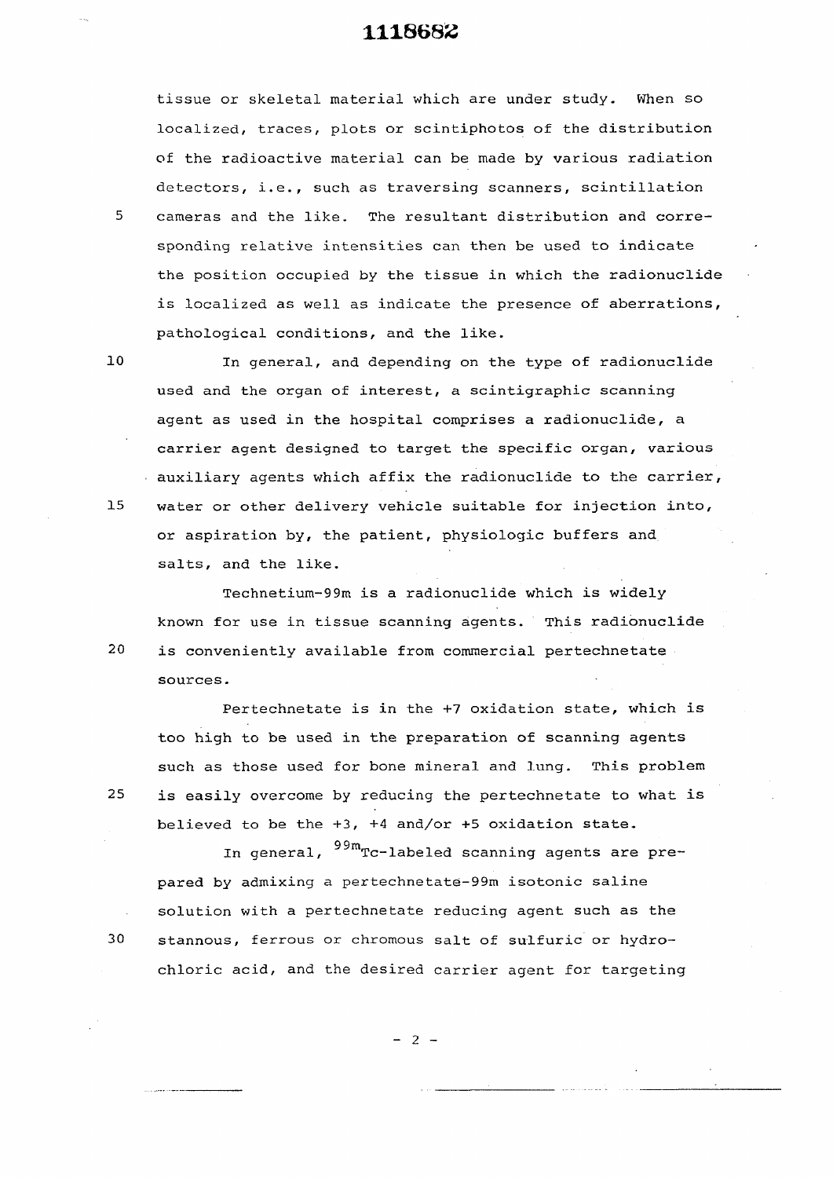tissue or skeletal material which are under study. When so localized, traces, plots or scintiphotos of the distribution of the radioactive material can be made by various radiation detectors, i.e., such as traversing scanners, scintillation 5 cameras and the like. The resultant distribution and corresponding relative intensities can then be used to indicate the position occupied by the tissue in which the radionuclide is localized as well as indicate the presence of aberrations, pathological conditions, and the like.

10 In general, and depending on the type of radionuclide used and the organ of interest, a scintigraphic scanning agent as used in the hospital comprises a radionuclide, a carrier agent designed to target the specific organ, various auxiliary agents which affix the radionuclide to the carrier, 15 water or other delivery vehicle suitable for injection into, or aspiration by, the patient, physiologic buffers and salts, and the like.

Technetium-99m is a radionuclide which is widely known for use in tissue scanning agents. This radionuclide 20 is conveniently available from commercial pertechnetate sources.

Pertechnetate is in the +7 oxidation state, which is too high to be used in the preparation of scanning agents such as those used for bone mineral and lung. This problem 25 is easily overcome by reducing the pertechnetate to what is believed to be the +3, +4 and/or +5 oxidation state.

In general,  $^{99m}$ Tc-labeled scanning agents are prepared by admixing a pertechnetate-99m isotonic saline solution with a pertechnetate reducing agent such as the stannous, ferrous or chromous salt of sulfuric or hydrochloric acid, and the desired carrier agent for targeting



30

 $- 2 -$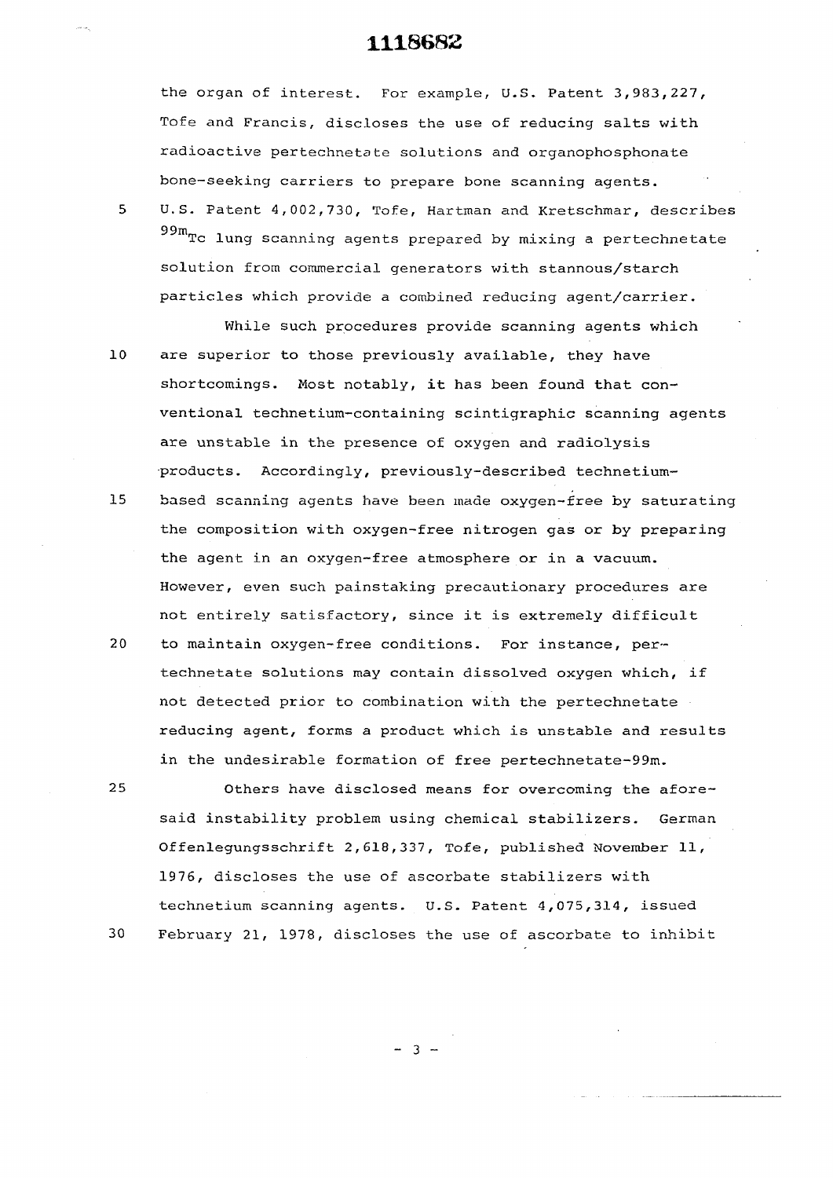the organ of interest. For example, U.S. Patent 3,983,227, Tofe and Francis, discloses the use of reducing salts with radioactive pertechnetste solutions and organophosphonate bone-seeking carriers to prepare bone scanning agents.

5 U.S. Patent 4,002,730, Tofe, Hartman and Kretschmar, describes  $99m$ Tc lung scanning agents prepared by mixing a pertechnetate solution from commercial generators with stannous/starch particles which provide a combined reducing agent/carrier.

While such procedures provide scanning agents which  $10$ are superior to those previously available, they have shortcomings. Most notably, it has been found that conventional technetium-containing scintigraphic scanning agents are unstable in the presence of oxygen and radiolysis products. Accordingly, previously-described technetium- $15$ based scanning agents have been made oxygen-free by saturating the composition with oxygen-free nitrogen gas or by preparing the agent in an oxygen-free atmosphere or in a vacuum.

However, even such painstaking precautionary procedures are not entirely satisfactory, since it is extremely difficult  $20$ to maintain oxygen-free conditions. For instance, pertechnetate solutions may contain dissolved oxygen which, if not detected prior to combination with the pertechnetate reducing agent, forms a product which is unstable and results in the undesirable formation of free pertechnetate-99m.

Others have disclosed means for overcoming the aforesaid instability problem using chemical stabilizers. German Offenlegungsschrift  $2,618,337$ , Tofe, published November 11, 1976, discloses the use of ascorbate stabilizers with technetium scanning agents. U.S. Patent 4,075,314, issued February 21, 1978, discloses the use of ascorbate to inhibit

25

30

 $- 3 -$ 

 $30\pm 197$  February 21, 1978, discloses the use of ascorbate to infinite to infinite to infinite to inhibitate to inhibitate to infinite to infinite to infinite to infinite to infinite to infinite the use of ascorbate to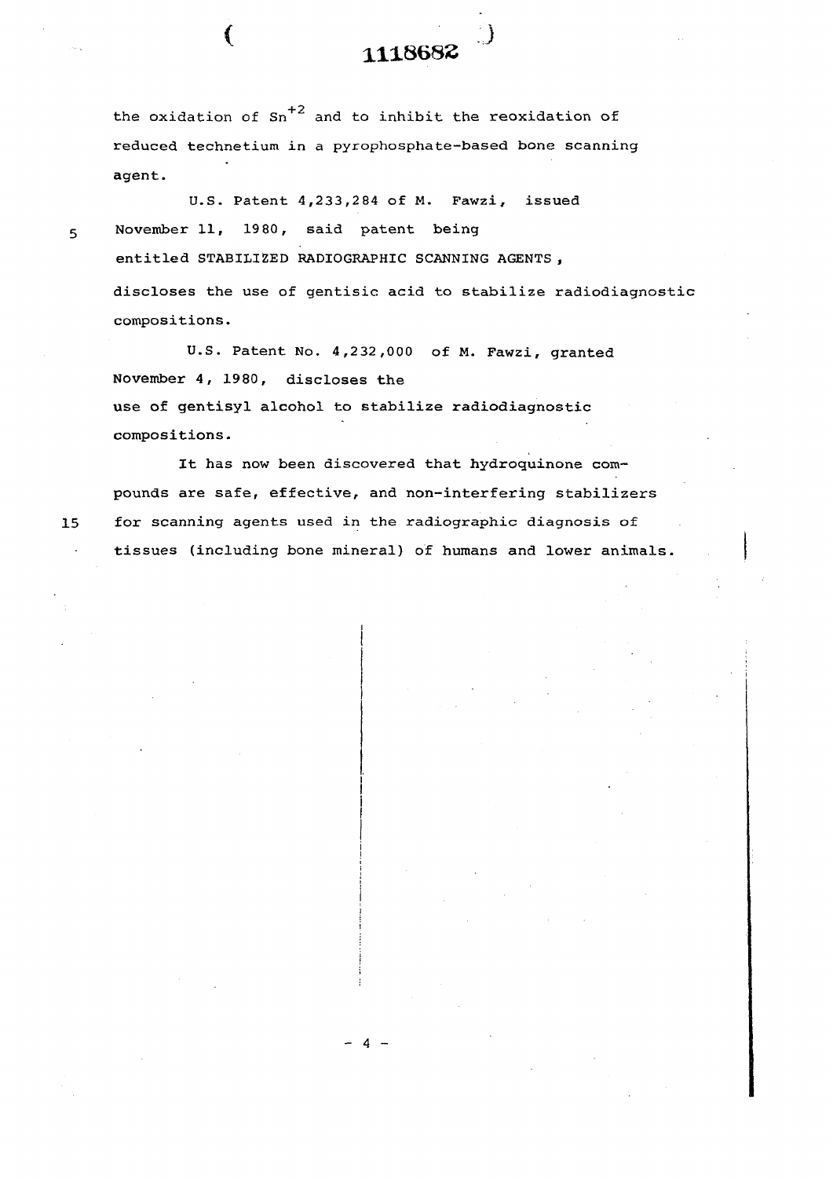the oxidation of  $sn^{-2}$  and to inhibit the reoxidation of reduced technetium in a pyrophosphate-based bone scanning agent.

U.S. Patent 4,233,284 of M. Pawzi, issued 5 November 11, 19 80, said patent being entitled STABILIZED RADIOGRAPHIC SCANNING AGENTS , discloses the use of gentisic acid to stabilize radiodiagnostic compositions.

U.S. Patent No. 4,232,000 of M. Fawzi, granted November 4, 1980, discloses the use of gentisyl alcohol to stabilize radiodiagnostic compositions.

- 4 -

It has now been discovered that hydroquinone compounds are safe, effective, and non-interfering stabilizers 15 for scanning agents used in the radiographic diagnosis of tissues (including bone mineral) of humans and lower animals.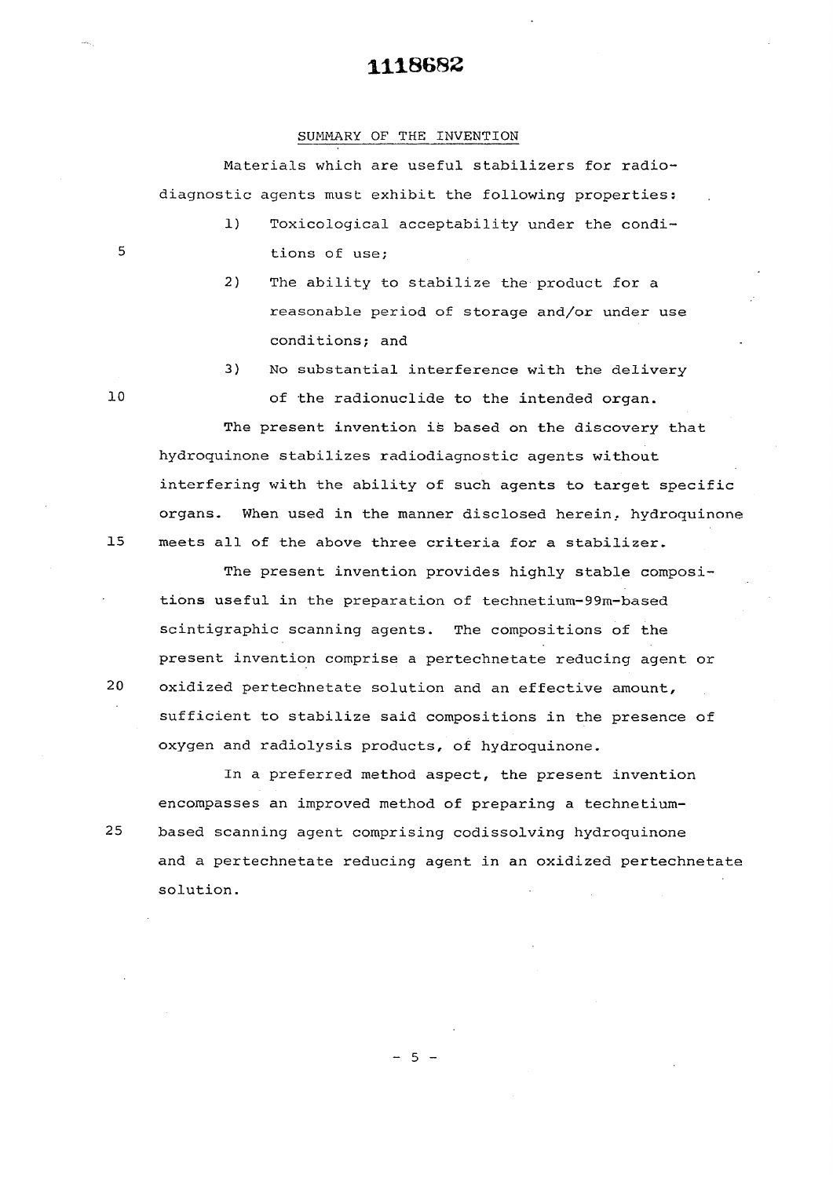#### SUMMARY OF THE INVENTION

Materials which are useful stabilizers for radiodiagnostic agents must exhibit the following properties:

- 1) Toxicological acceptability under the condi— 5 tions of use;
	- 2) The ability to stabilize the product for a reasonable period of storage and/or under use conditions; and
	- 3) No substantial interference with the delivery

The present invention is based on the discovery that hydroquinone stabilizes radiodiagnostic agents without interfering with the ability of such agents to target specific organs. When used in the manner disclosed herein, hydroquinone 15 meets all of the above three criteria for a stabilizer.

The present invention provides highly stable compositions useful in the preparation of technetium-99m-based scintigraphic scanning agents. The compositions of the present invention comprise a pertechnetate reducing agent or 20 oxidized pertechnetate solution and an effective amount, sufficient to stabilize said compositions in the presence of oxygen and radiolysis products, of hydroquinone.

In a preferred method aspect, the present invention encompasses an improved method of preparing a technetium-25 based scanning agent comprising codissolving hydroquinone and a pertechnetate reducing agent in an oxidized pertechnetate solution.

10 of the radionuclide to the intended organ.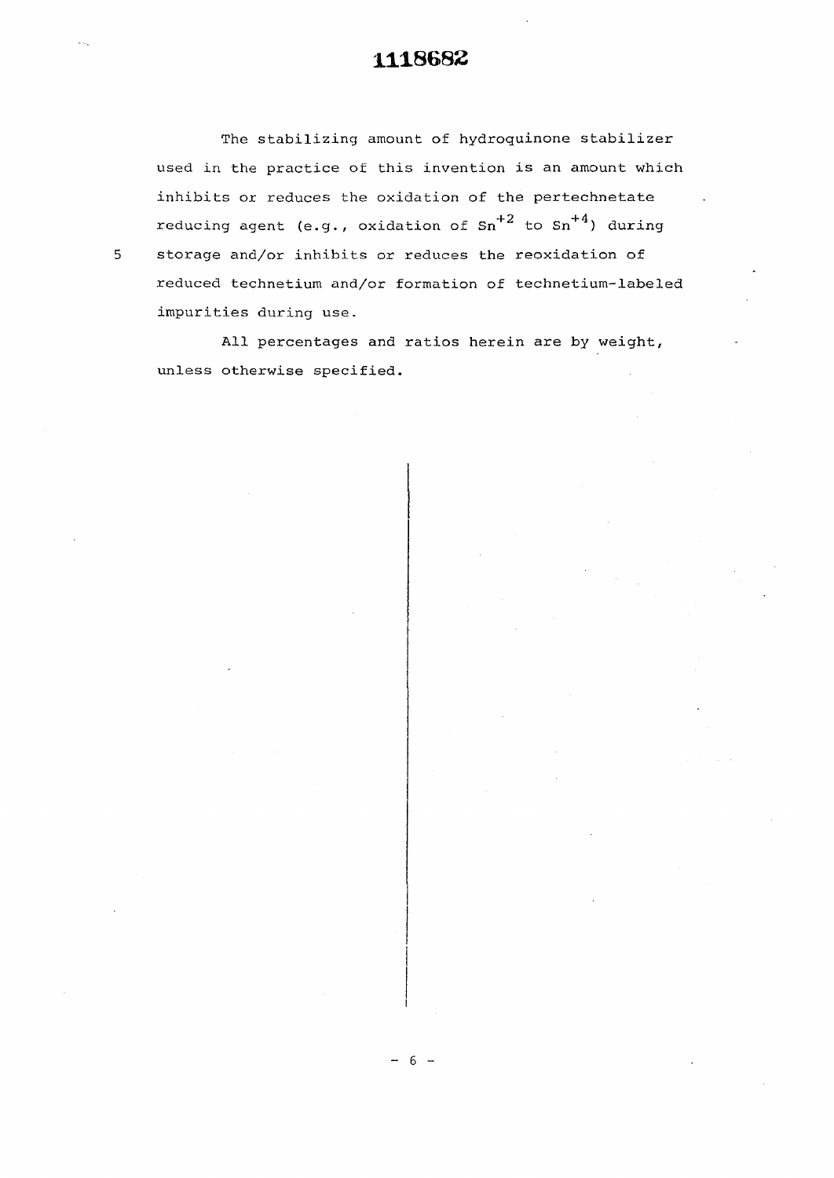The stabilizing amount of hydroquinone stabilizer used in the practice of this invention is an amount which inhibits or reduces the oxidation of the pertechnetate reducing agent (e.g., oxidation of  $Sn^{+2}$  to  $Sn^{+4}$ ) during storage and/or inhibits or reduces the reoxidation of reduced technetium and/or formation of technetium-labeled impurities during use.

All percentages and ratios herein are by weight, unless otherwise specified.

 $5<sup>1</sup>$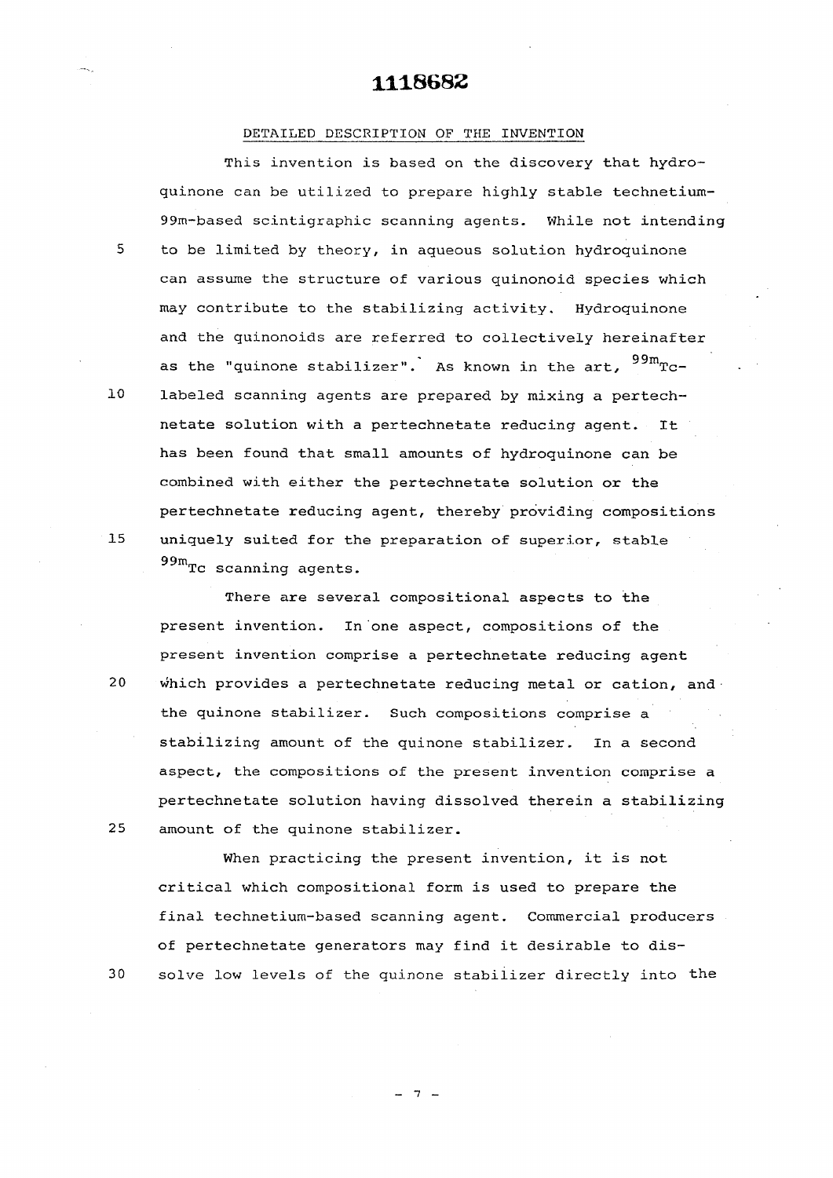#### DETAILED DESCRIPTION OF THE INVENTION

**This invention is based on the discovery that hydro**quinone can be utilized to prepare highly stable technetium-99m-based scintigraphic scanning agents. While not intending 5 to be limited by theory, in aqueous solution hydroquinone can assume the structure of various quinonoid species which may contribute to the stabilizing activity. Hydroquinone and the quinonoids are referred to collectively hereinafter as the "quinone stabilizer". As known in the art,  $^{99m}$ Tclabeled scanning agents are prepared by mixing a pertechnetate solution with a pertechnetate reducing agent. It has been found that small amounts of hydroquinone can be combined with either the pertechnetate solution or the pertechnetate reducing agent, thereby providing compositions pertechnetate reducing agent, thereby providing compositions  $\frac{1}{2}$  uniquely suited for the preparation of superior, stable superior, stable superior, stable superior, stable superior, stable superior, stable superior, stable superior, stable superior, stable superior, stable su 99mTc scanning agents.

There are several compositional aspects to the present invention. In one aspect, compositions of the present invention comprise a pertechnetate reducing agent which provides a pertechnetate reducing metal or cation, and the quinone stabilizer. Such compositions comprise a stabilizing amount of the quinone stabilizer. In a second aspect, the compositions of the present invention comprise a pertechnetate solution having dissolved therein a stabilizing amount of the quinone stabilizer.

When practicing the present invention, it is not critical which compositional form is used to prepare the final technetium-based scanning agent. Commercial producers of pertechnetate generators may find it desirable to dissolve low levels of the quinone stabilizer directly into the

 $10$ 

15

 $20\,$ 

25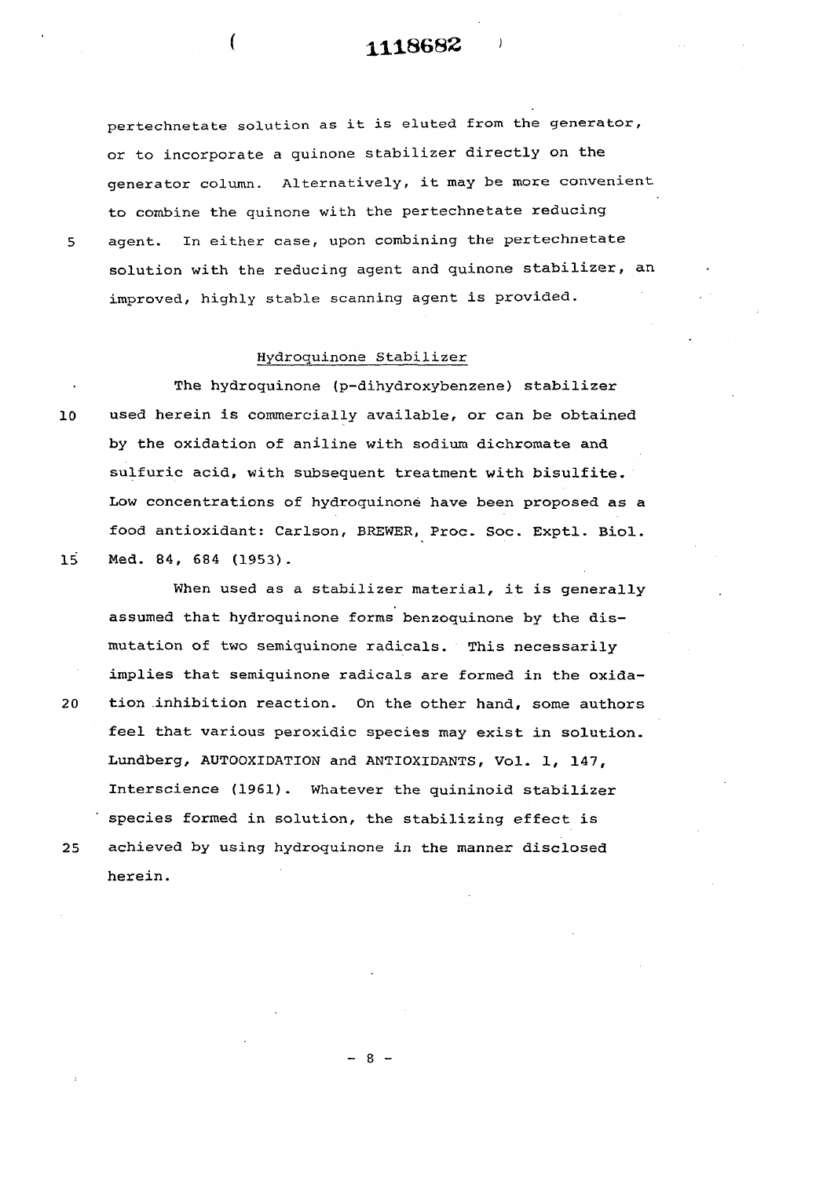pertechnetate solution as it is eluted from the generator, or to incorporate a quinone stabilizer directly on the generator column. Alternatively, it may be more convenient to combine the quinone with the pertechnetate reducing 5 agent. In either case, upon combining the pertechnetate solution with the reducing agent and quinone stabilizer, an improved, highly stable scanning agent is provided.

#### Hydroquinone Stabilizer

The hydroquinone (p-dihydroxybenzene) stabilizer 10 used herein is commercially available, or can be obtained by the oxidation of aniline with sodium dichromate and sulfuric acid, with subsequent treatment with bisulfite. Low concentrations of hydroquinoné have been proposed as a food antioxidant: Carlson, BREWER, Proc. Soc. Exptl. Biol. 15 Med. 84, 684 (1953).

When used as a stabilizer material, it is generally assumed that hydroquinone forms benzoquinone by the dismutation of two semiquinone radicals. This necessarily implies that semiquinone radicals are formed in the oxida-20 tion inhibition reaction. On the other hand, some authors feel that various peroxidic species may exist in solution. Lundberg, AUTOOXIDATION and ANTIOXIDANTS, Vol. 1, 147, Interscience (1961). Whatever the quininoid stabilizer species formed in solution, the stabilizing effect is 25 achieved by using hydroquinone in the manner disclosed herein.

 $- 8 -$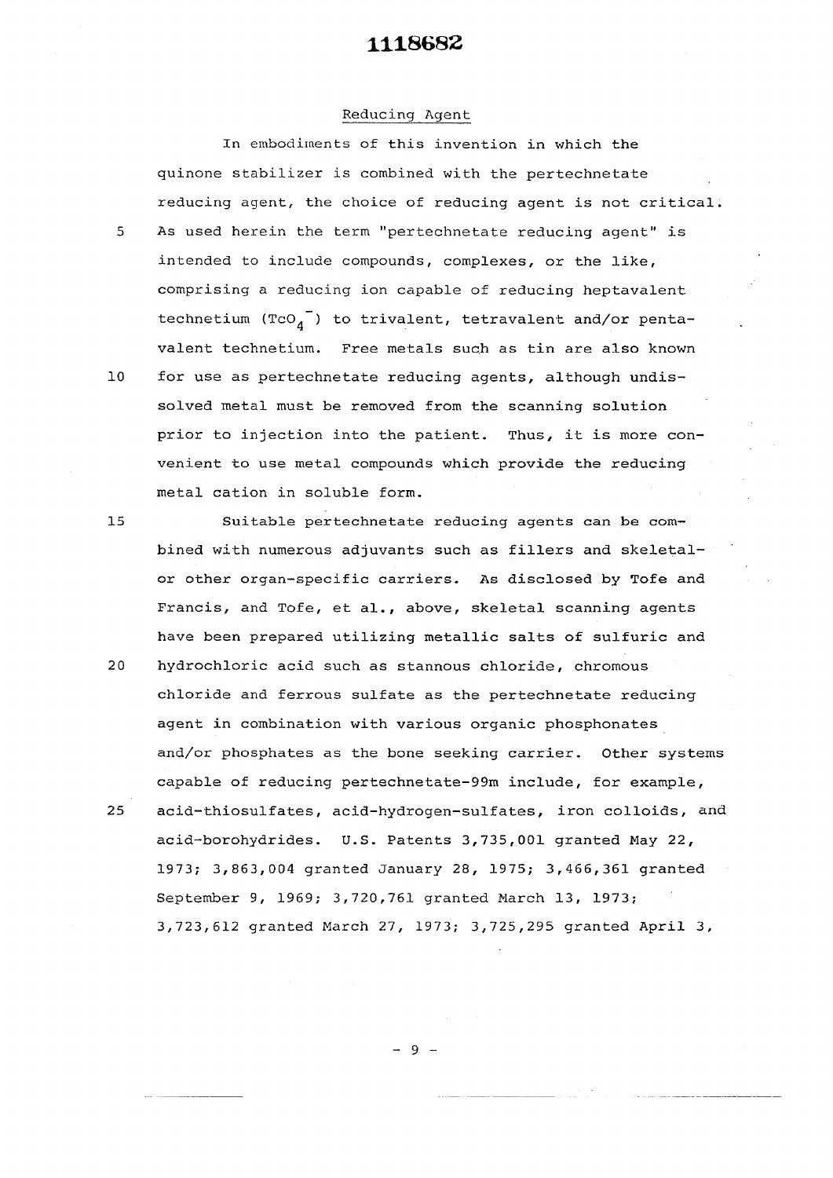#### Reducing Agent

In embodiments of this invention in which the quinone stabilizer is combined with the pertechnetate reducing agent, the choice of reducing agent is not critical. 5 As used herein the term "pertechnetate reducing agent" is intended to include compounds, complexes, or the like, comprising a reducing ion capable of reducing heptavalent technetium (TcO $_{4}$ ) to trivalent, tetravalent and/or pentavalent technetium. Free metals such as tin are also known 10 for use as pertechnetate reducing agents, although undissolved metal must be removed from the scanning solution prior to injection into the patient. Thus, it is more convenient to use metal compounds which provide the reducing metal cation in soluble form.

15 Suitable pertechnetate reducing agents can be combined with numerous adjuvants such as fillers and skeletalor other organ-specific carriers. As disclosed by Tofe and Francis, and Tofe, et al., above, skeletal scanning agents have been prepared utilizing metallic salts of sulfuric and

- 20 hydrochloric acid such as stannous chloride, chromous chloride and ferrous sulfate as the pertechnetate reducing agent in combination with various organic phosphonates and/or phosphates as the bone seeking carrier. Other systems capable of reducing pertechnetate-99m include, for example,
- 25 acid-thiosulfates, acid-hydrogen-sulfates, iron colloids, and acid-borohydrides. U.S. Patents 3,735,001 granted May 22, 1973; 3,863,004 granted January 28, 1975; 3,466,361 granted September 9, 1969; 3,720,761 granted March 13, 1973; 3,723,612 granted March 27, 1973; 3,725,295 granted April 3,

 $-9 -$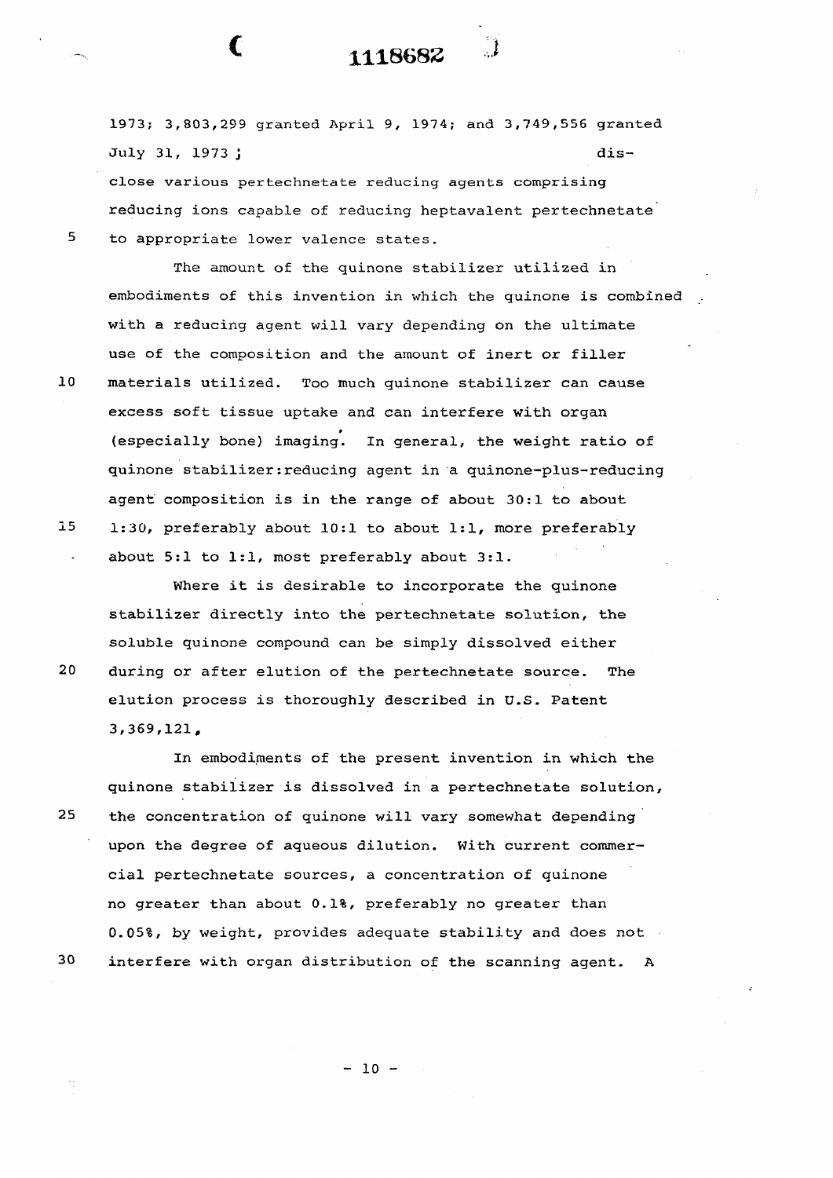1973; 3,803,299 granted April 9, 1974; and 3,749,556 granted July 31, 1973 j dis-

**1118683 i** 

**(** 

 $20<sub>2</sub>$ 

close various pertechnetate reducing agents comprising reducing ions capable of reducing heptavalent pertechnetate 5 to appropriate lower valence states.

The amount of the quinone stabilizer utilized in embodiments of this invention in which the quinone is combined with a reducing agent will vary depending on the ultimate use of the composition and the amount of inert or filler 10 materials utilized. Too much quinone stabilizer can cause excess soft tissue uptake and can interfere with organ (especially bone) imaging. In general, the weight ratio of (especially bone) imaging. In general, the weight ratio of quinone stabilizer : reducing agent in a quinone-plus-reducing

agent composition is in the range of about 30:1 to about  $15$ 15 1:30, preferably about 10:1 to about 1:1, more preferably about 5:1 to 1:1, most preferably about 3:1.

Where it is desirable to incorporate the quinone Where it is desirable to incorporate the quinon  $\mathcal{F}_{\mathcal{A}}$ soluble quinone compound can be simply dissolved either 20 during or after elution of the pertechnetate source. The elution process is thoroughly described in U.S. Patents in U.S. Patents in U.S. Patents in U.S. Patents in U.S

In the present invention in the present invention in  $\mathcal{L}_\text{max}$ quinone stabilizer is dissolved in a pertechnetate solution/ 25 the concentration of quinone will vary somewhat depending 25 the concentration of quinone will vary somewhat depending upon the degree of aqueous dilution. With current commerupon the degree of aqueous dilution. With current commercial pertechnetate sources, a concentration of quinone no greater than about 0.1%, preferably no greater than 0.05%, by weight, provides adequate stability and does not 30 30 interfere with organ distribution of the scanning agent. A

 $- 10 -$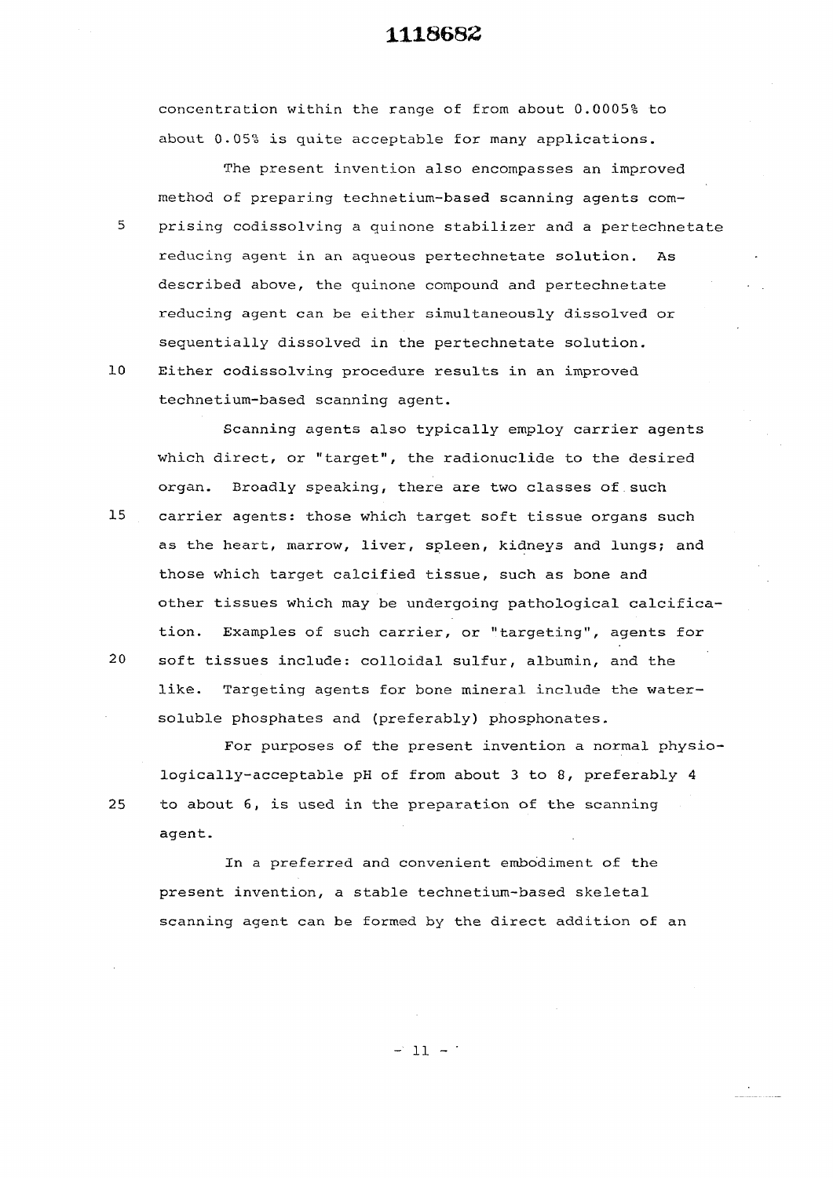concentration within the range of from about 0.0005% to about 0.05% is quite acceptable for many applications.

The present invention also encompasses an improved method of preparing technetium-based scanning agents com-5 prising codissolving a quinone stabilizer and a pertechnetate reducing agent in an agueous pertechnetate solution. As described above, the quinone compound and pertechnetate reducing agent can be either simultaneously dissolved or sequentially dissolved in the pertechnetate solution. 10 Either codissolving procedure results in an improved

technetium-based scanning agent.

Scanning agents also typically employ carrier agents which direct, or "target", the radionuclide to the desired organ. Broadly speaking, there are two classes of such

- 15 carrier agents: those which target soft tissue organs such as the heart, marrow, liver, spleen, kidneys and lungs; and those which target calcified tissue, such as bone and other tissues which may be undergoing pathological calcification. Examples of such carrier, or "targeting", agents for
- 20 soft tissues include: colloidal sulfur, albumin, and the like. Targeting agents for bone mineral include the watersoluble phosphates and (preferably) phosphonates.

For purposes of the present invention a normal physiologically-acceptable pH of from about 3 to 8, preferably 4 25 to about 6, is used in the preparation of the scanning agent.

In a preferred and convenient embodiment of the present invention, a stable technetium-based skeletal scanning agent can be formed by the direct addition of an

 $-11 - 1$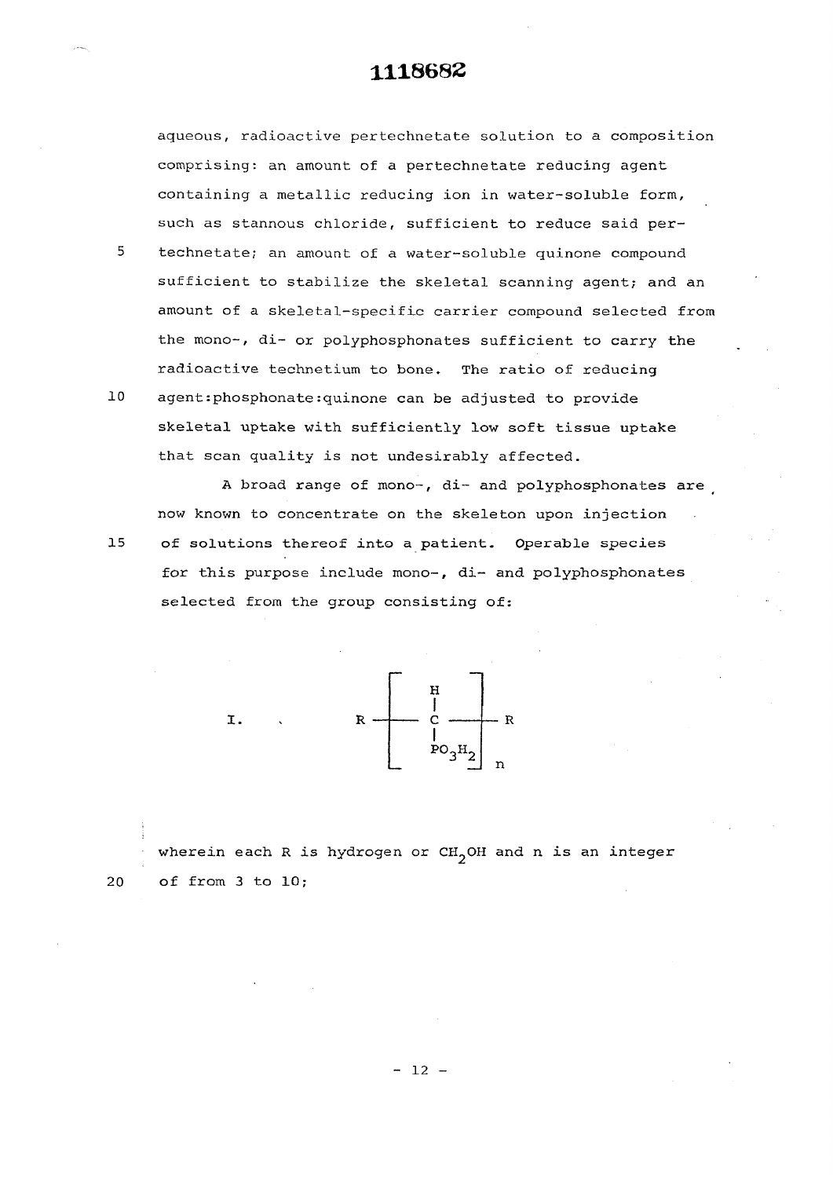aqueous, radioactive pertechnetate solution to a composition comprising: an amount of a pertechnetate reducing agent containing a metallic reducing ion in water-soluble form, such as stannous chloride, sufficient to reduce said per-

technetate; an amount of a water-soluble quinone compound sufficient to stabilize the skeletal scanning agent; and an amount of a skeletal-specific carrier compound selected from the mono-, di- or polyphosphonates sufficient to carry the radioactive technetium to bone. The ratio of reducing

**10**  agent:phosphonate:quinone can be adjusted to provide skeletal uptake with sufficiently low soft tissue uptake that scan quality is not undesirably affected.

A broad range of mono-, di- and polyphosphonates are now known to concentrate on the skeleton upon injection of solutions thereof into a patient. Operable species for this purpose include mono-, di- and polyphosphonates selected from the group consisting of:



wherein each R is hydrogen or  $CH_2OH$  and n is an integer 20 of from 3 to 10;

5

15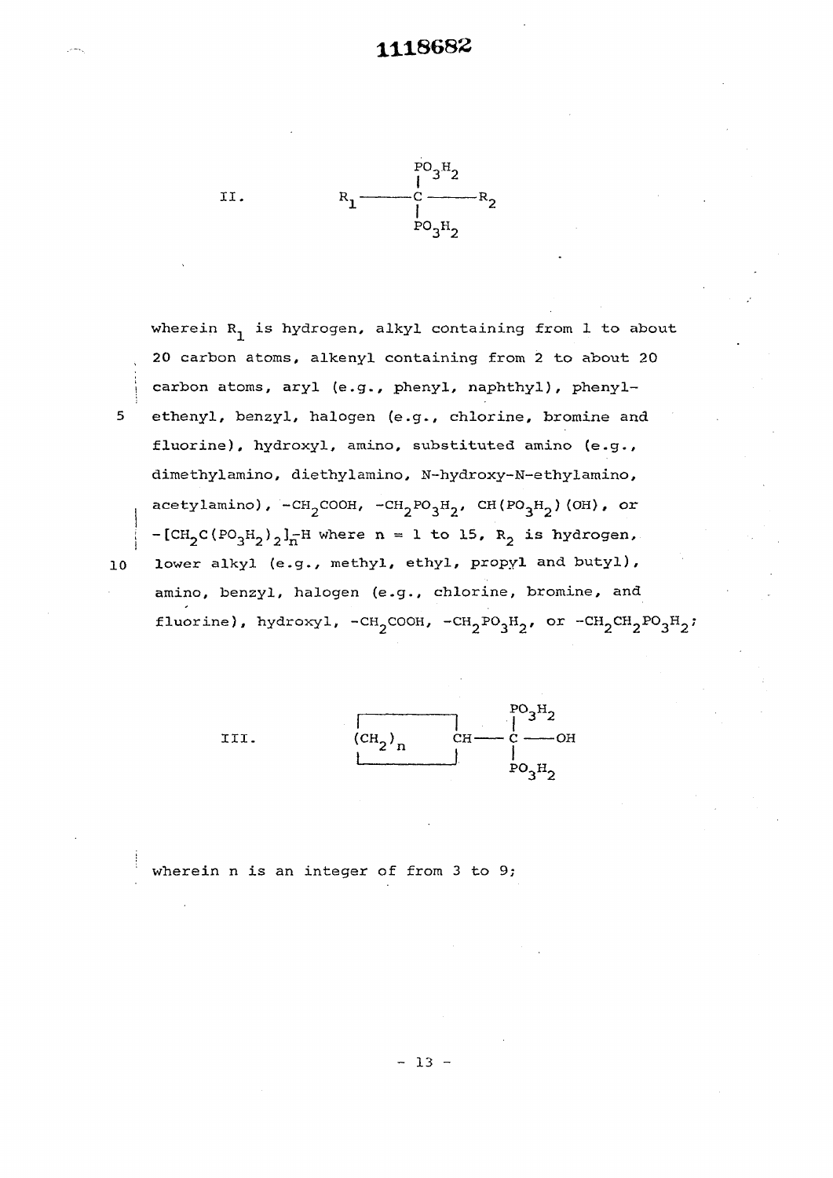

 $5<sub>1</sub>$ 

 $10$ 

wherein  $R_1$  is hydrogen, alkyl containing from 1 to about 20 carbon atoms, alkenyl containing from 2 to about 20 carbon atoms, aryl (e.g., phenyl, naphthyl), phenylethenyl, benzyl, halogen (e.g., chlorine, bromine and fluorine), hydroxyl, amino, substituted amino (e.g., dimethylamino, diethylamino, N-hydroxy-N-ethylamino, acetylamino), -CH<sub>2</sub>COOH, -CH<sub>2</sub>PO<sub>3</sub>H<sub>2</sub>, CH(PO<sub>3</sub>H<sub>2</sub>)(OH), or  $-[CH_2C(PO_3H_2)_{2}]_n^-$ H where n = 1 to 15,  $R_2$  is hydrogen, lower alkyl (e.g., methyl, ethyl, propyl and butyl), amino, benzyl, halogen (e.g., chlorine, bromine, and fluorine), hydroxyl, -CH<sub>2</sub>COOH, -CH<sub>2</sub>PO<sub>3</sub>H<sub>2</sub>, or -CH<sub>2</sub>CH<sub>2</sub>PO<sub>3</sub>H<sub>2</sub>;



wherein n is an integer of from 3 to 9;

 $- 13 -$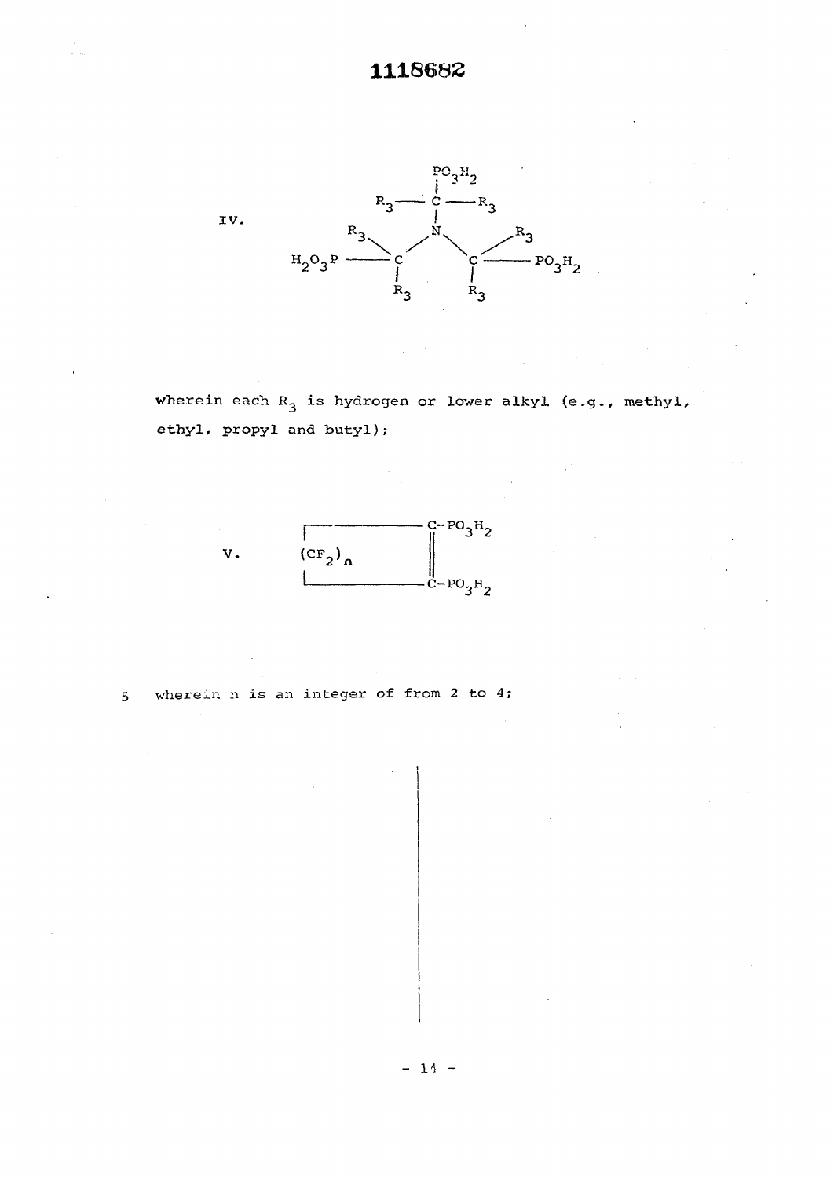

wherein each  $R_3$  is hydrogen or lower alkyl (e.g., methyl, ethyl, propyl and butyl);



**5 wherein n is an integer of from 2 to 4;**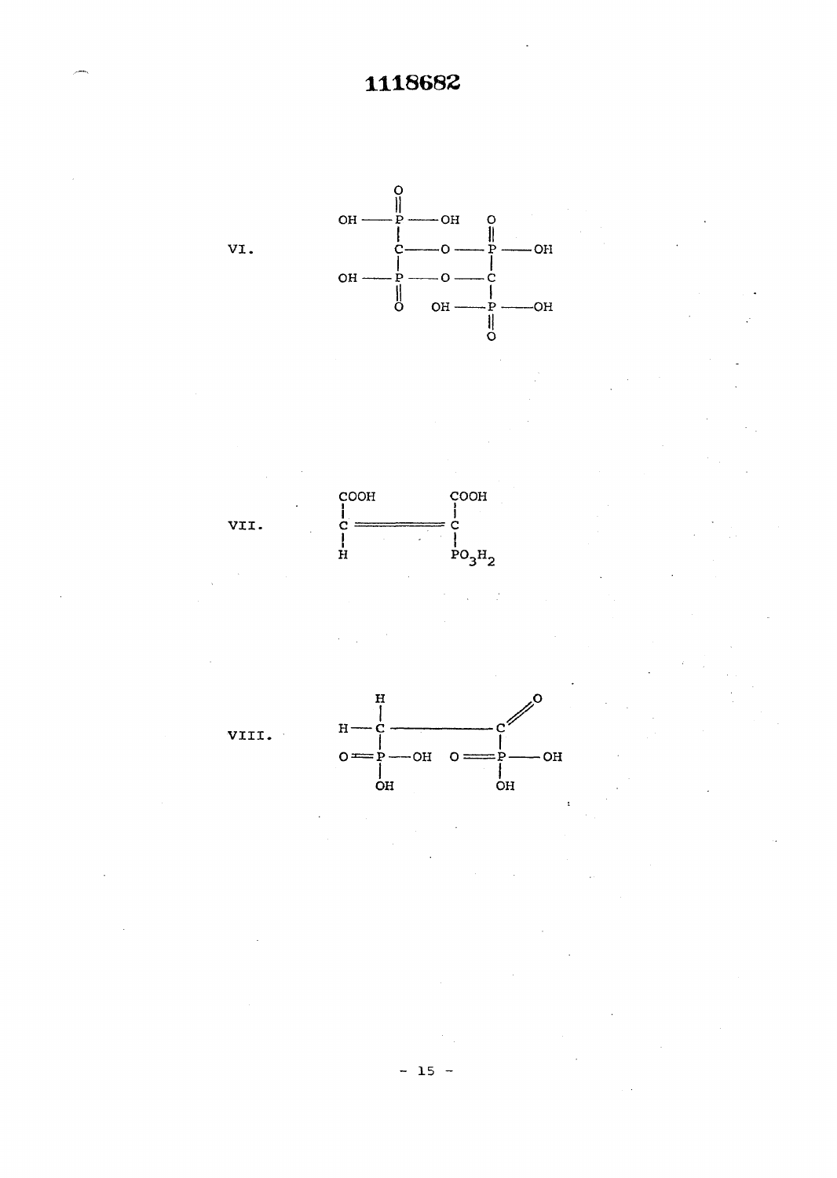

 $- 15 -$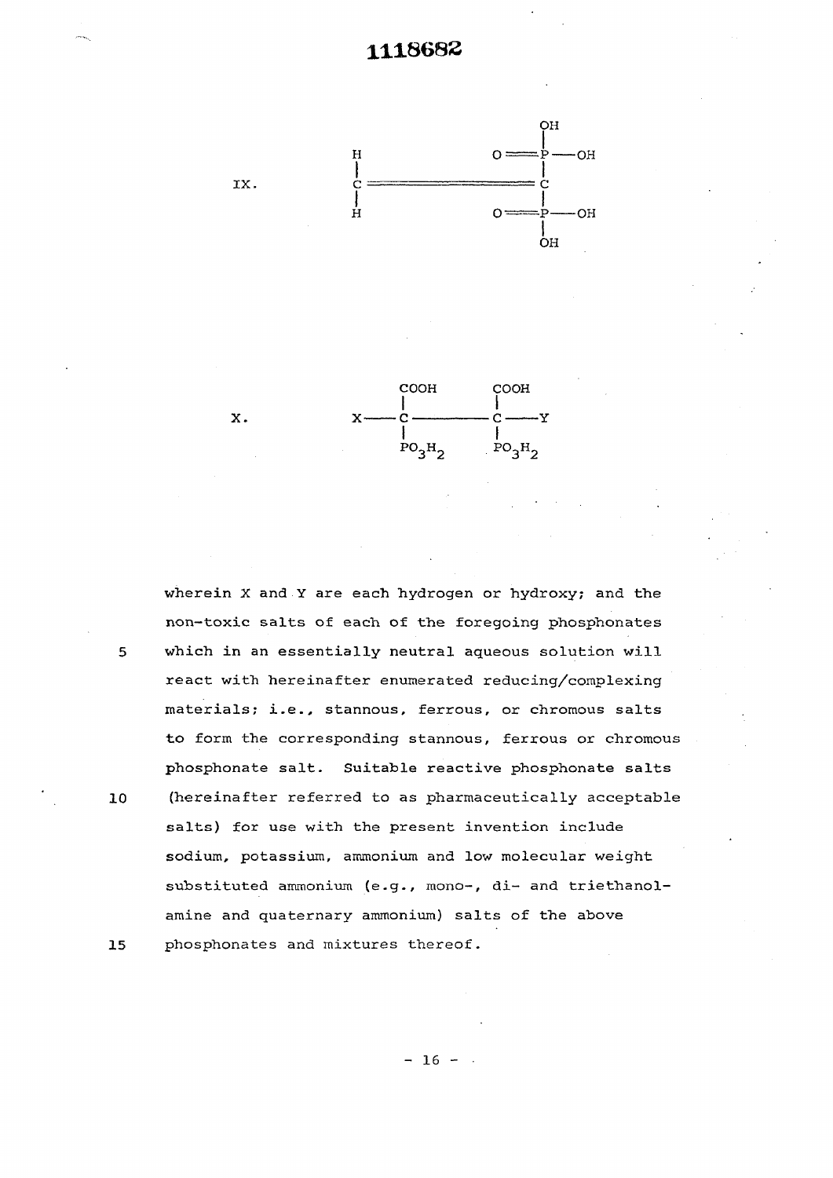<span id="page-17-0"></span>



**wherein X and Y are each hydrogen or hydroxy; and the non-toxic salts of each of the foregoing phosphonates which in an essentially neutral aqueous solution will react with hereinafter enumerated reducing/complexing materials; i.e., stannous, ferrous, or chromous salts to form the corresponding stannous, ferrous or chromous phosphonate salt. Suitable reactive phosphonate salts (hereinafter referred to as pharmaceutically acceptable salts) for use with the present invention include sodium, potassium, ammonium and low molecular weight**  substituted ammonium (e.g., mono-, di- and triethanol**amine and quaternary ammonium) salts of the above phosphonates and mixtures thereof.** 

10

5

 $15$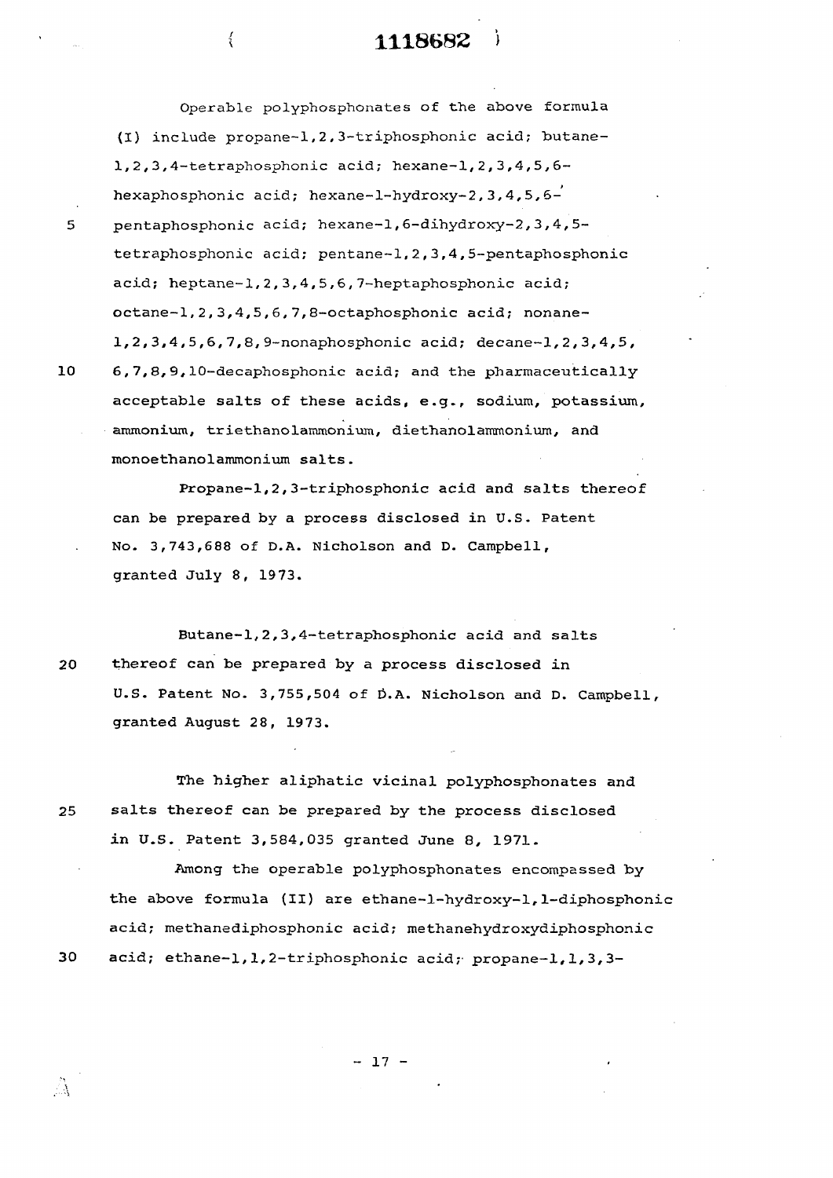## **\ 1118682 )**

**Operable polyphosphonates of the above formula**  (I) include propane-1,2,3-triphosphonic acid; butane-**1,2,3,4-tetraphosphonic acid; hexane-1,2,3,4,5,6** hexaphosphonic acid; hexane-1-hydroxy-2, 3, 4, 5, 6hexaphosphonic acid; hexane-l-hydroxy-2,3,4,5,6- 5 pentaphosphonic acid; hexane-1,6-dihydroxy-2,3,4,5 acid; heptane-1,2,3,4,5,6,7-heptaphosphonic acid; octane-1,2,3,4,5,6,7,8-octaphosphonic acid; nonane-1,2,3,4,5,6,7,8/9-nonaphosphonic acid; decane-1,2,3,4,5, 10 6,7,8,9,10-decaphosphonic acid; and the pharmaceutically acceptable salts of these acids, e.g., sodium, potassium, ammonium, triethanolammonium, diethanolammonium, and monoethanolammonium salts.

**1** 

Propane-1,2,3-triphosphonic acid and salts thereof can be prepared by a process disclosed in U.S. Patent in U.S. Patent in U.S. Patent in U.S. Patent in U.S. Pat No. 3,743,688 of D.A. Nicholson and D. Campbell, No. 3,743,688 of D.A. Nicholson and D. Campbell,  $\mathcal{G}$  and  $\mathcal{G}$   $\mathcal{G}$   $\mathcal{G}$   $\mathcal{G}$   $\mathcal{G}$   $\mathcal{G}$   $\mathcal{G}$   $\mathcal{G}$   $\mathcal{G}$   $\mathcal{G}$   $\mathcal{G}$   $\mathcal{G}$   $\mathcal{G}$   $\mathcal{G}$   $\mathcal{G}$   $\mathcal{G}$   $\mathcal{G}$   $\mathcal{G}$   $\mathcal{G}$   $\mathcal{G}$   $\mathcal{G}$   $\mathcal{G}$   $\mathcal{G}$ 

Butane-1,2,3,4-tetraphosphonic acid and salts 20 thereof can be prepared by a process disclosed in U.S. Patent No. 3,755,504 of Û.A. Nicholson and D. Campbell, granted August 28, 1973.

The higher aliphatic vicinal polyphosphonates and 25 salts thereof can be prepared by the process disclosed in U.S. Patent 3,584,035 granted June 8, 1971.

Among the operable polyphosphonates encompassed by the above formula (II) are ethane-l-hydroxy-1,1-diphosphonic acid; methanediphosphonic acid; methanehydroxydiphosphonic 30 acid; ethane-1,1,2-triphosphonic acid; propane-1,1,3,3-

- 17 -

5

10

 $\mathbb{R}^3$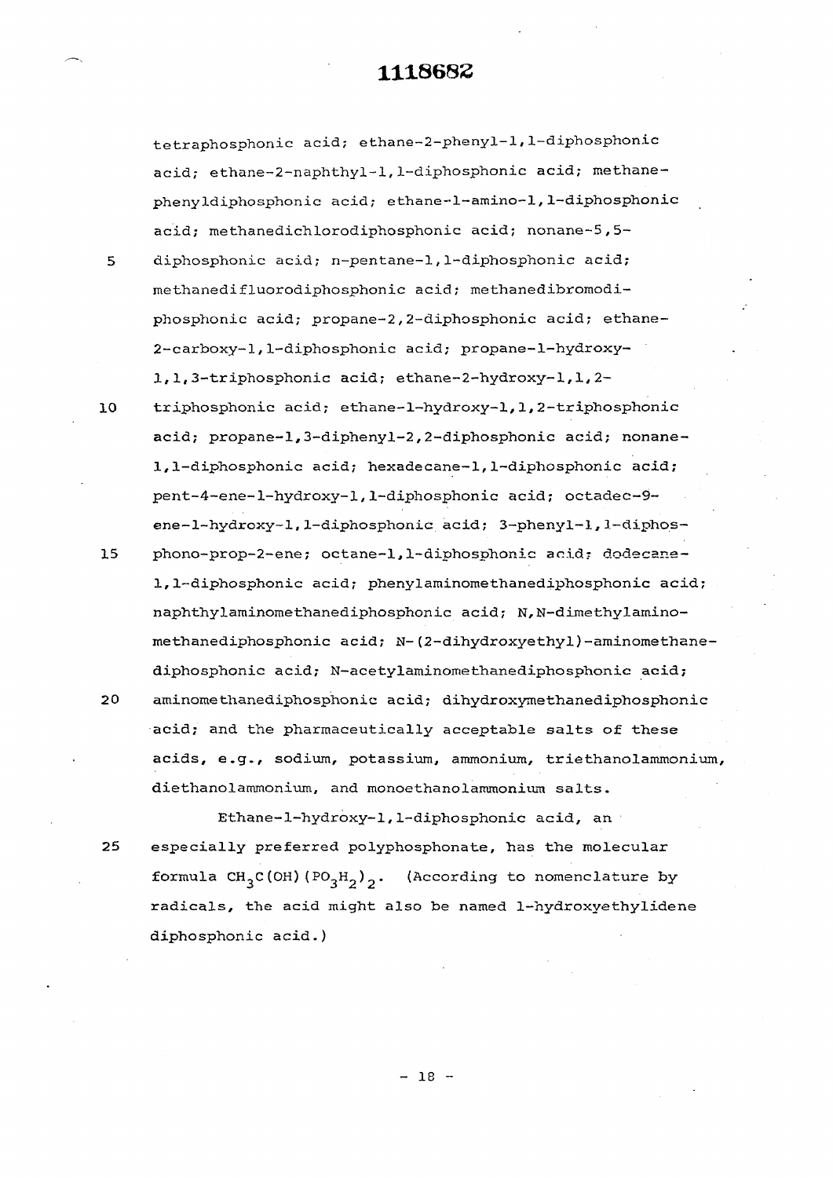tetraphosphonic acid; ethane-2-phenyl-l, 1-diphosphon.ic acid; ethane-2-naphthyl-1, 1-diphosphonic acid; methanephenyldiphosphonic acid; ethane-l-amino-1,1-diphosphonic acid; methanedichlorodiphosphonic acid; nonane-5,5- 5 diphosphonic acid; n-pentane-1,1-diphosphonic acid;

methanedifluorodiphosphonic acid; methanedibromodiphosphonic acid; propane-2,2-diphosphonic acid; ethane-2-carboxy-l,1-diphosphonic acid; propane-1-hydroxy-I,1,3-triphosphonic acid; ethane-2-hydroxy-i,1,2-

10 triphosphonic acid; ethane-1-hydroxy-l, 1, 2-triphosphonic acid; propane-1,3-diphenyl-2,2-diphosphonic acid; nonane-1,1-diphosphonic acid; hexadecane-1,1-diphosphonic acid; pent-4-ene-1-hydroxy-l,1-diphosphonic acid; octadec-9 ene-l-hydroxy-1,1-diphosphonic acid; 3—phenyl—1,1—diphos—

15 phono-prop-2-ene; octane-1,1-diphosphonic acid; dodecane-1,1-diphosphonic acid; phenylaminomethanediphosphonic acid; naphthylaminomethanediphosphonic acid; N,N-dimethylaminomethanediphosphonic acid; N-(2-dihydroxyethyl)-aminomethanediphosphonic acid; N-acetylaminomethanediphosphonic acid; 20 aminomethanediphosphonic acid; dihydroxymethanediphosphonic acid; and the pharmaceutically acceptable salts of these acids, e.g., sodium, potassium, ammonium, triethanolammonium, diethanolammonium, and monoethanolammonium salts.

Ethane-1-hydroxy-l,1-diphosphonic acid, an 25 especially preferred polyphosphonate, has the molecular formula  $CH_3C(OH)(PO_3H_2)$ . (According to nomenclature by radicals, the acid might also be named 1-hydroxyethylidene diphosphonic acid.)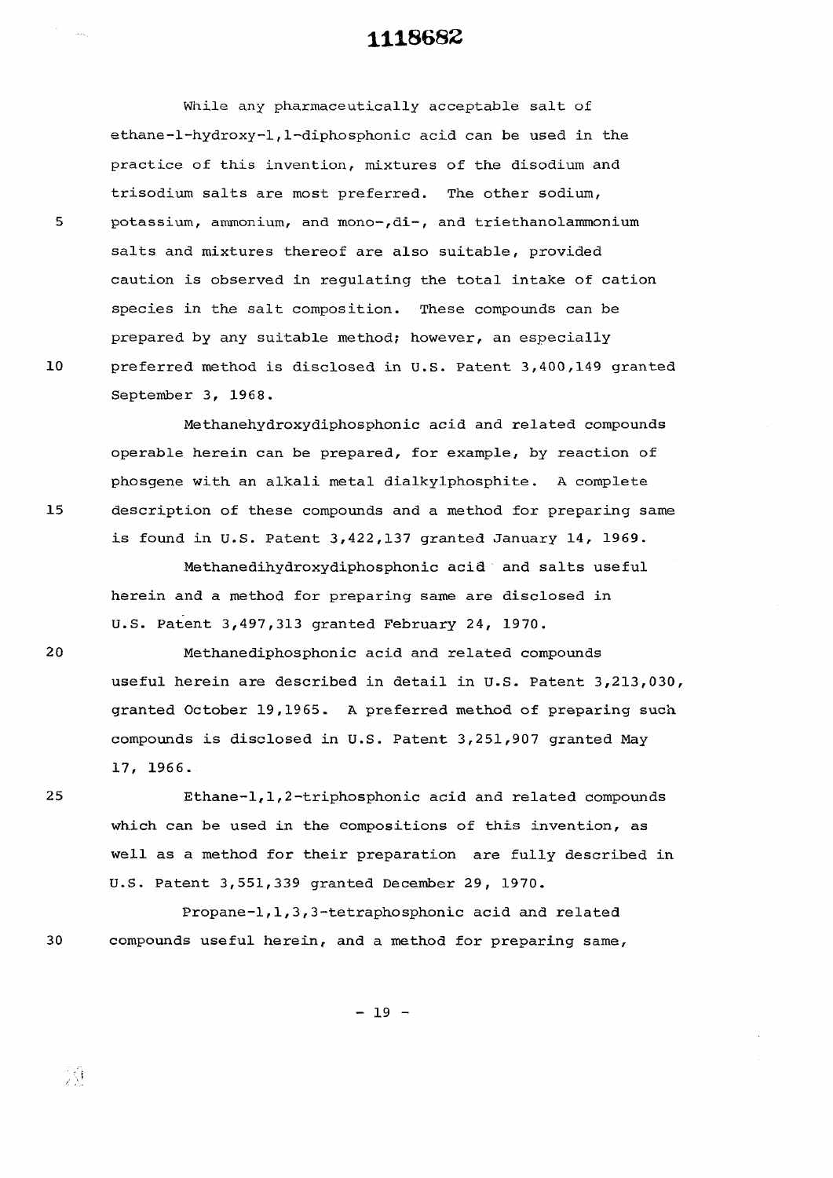While any pharmaceutically acceptable salt of ethane-1-hydroxy-1,1-diphosphonic acid can be used in the practice of this invention, mixtures of the disodium and trisodium salts are most preferred. The other sodium, potassium, ammonium, and mono-,di-, and triethanolammonium salts and mixtures thereof are also suitable, provided caution is observed in regulating the total intake of cation species in the salt composition. These compounds can be prepared by any suitable method; however, an especially preferred method is disclosed in U.S. Patent 3,400,149 granted September 3, 1968.

Methanehydroxydiphosphonic acid and related compounds operable herein can be prepared, for example, by reaction of phosgene with an alkali metal dialkylphosphite. A complete description of these compounds and a method for preparing same is found in U.S. Patent 3,422,137 granted January 14, 1969.

Methanedihydroxydiphosphonic acid and salts useful herein and a method for preparing same are disclosed in U.S. Patent 3,497,313 granted February 24, 1970.

Methanediphosphonic acid and related compounds useful herein are described in detail in U.S. Patent 3,213,030, granted October 19,1965. A preferred method of preparing such compounds is disclosed in U.S. Patent 3,251,907 granted May 17, 1966.

Ethane-1,1,2-triphosphonic acid and related compounds which can be used in the compositions of this invention, as well as a method for their preparation are fully described in U.S. Patent 3,551,339 granted December 29, 1970.

Propane-1,1,3,3-tetraphosphonic acid and related 30 compounds useful herein, and a method for preparing same,

 $-19 -$ 

5

15

 $20$ 

 $10$ 

25

刘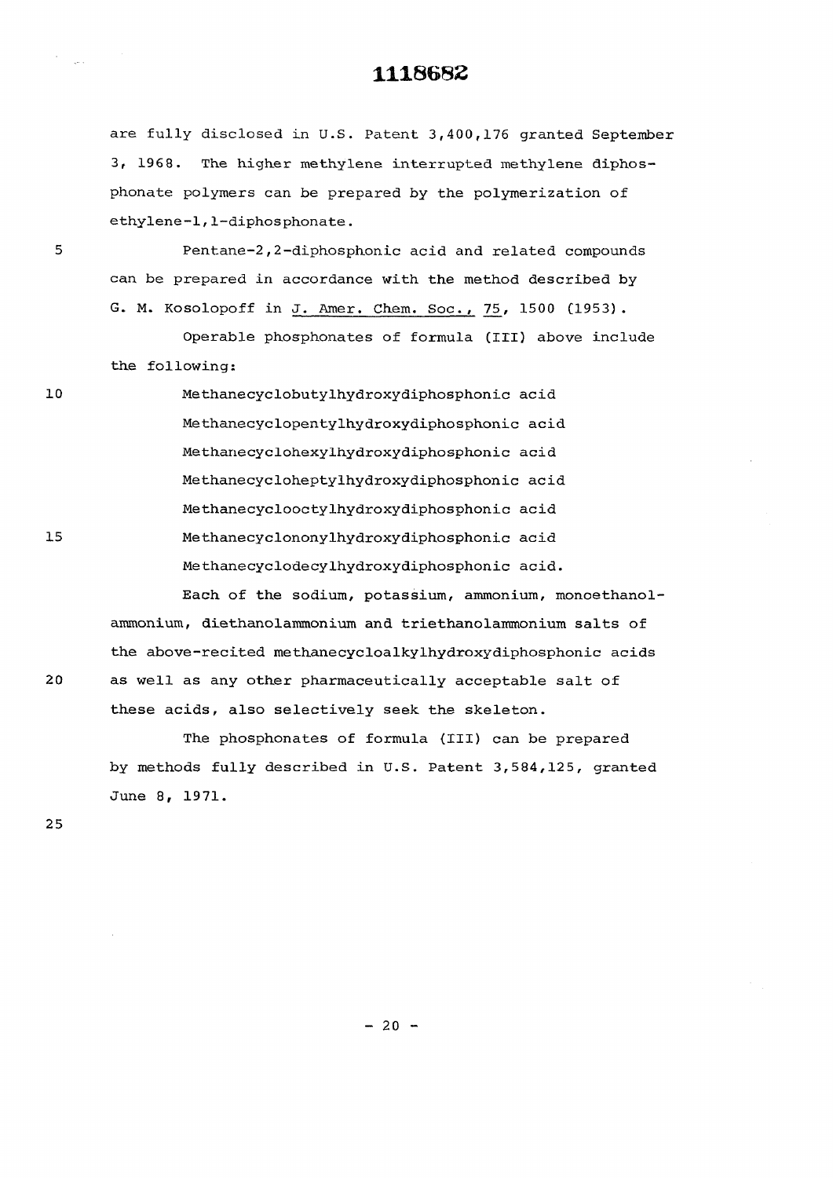are fully disclosed in U.S. Patent 3,400,176 granted September 3, 1968. The higher methylene interrupted methylene diphosphonate polymers can be prepared by the polymerization of ethylene-1,1-diphosphonate.

Pentane-2, 2-diphosphonic acid and related compounds can be prepared in accordance with the method described by G. M. Kosolopoff in J. Amer. Chem. Soc., 75, 1500 (1953).

Operable phosphonates of formula (III) above include the following:

> Methanecyclobutylhydroxydiphosphonic acid Methanecyclopentylhydroxydiphosphonic acid Methanecyclohexylhydroxydiphosphonic acid Methanecycloheptylhydroxydiphosphonic acid Methanecyclooctylhydroxydiphosphonic acid Methanecyclononylhydroxydiphosphonic acid Methanecyclodecylhydroxydiphosphonic acid.

Each of the sodium, potassium, ammonium, monoethanolammonium, diethanolammonium and triethanolammonium salts of the above-recited methanecycloalkylhydroxydiphosphonic acids as well as any other pharmaceutically acceptable salt of these acids, also selectively seek the skeleton.

The phosphonates of formula (III) can be prepared by methods fully described in U.S. Patent 3,584,125, granted June 8, 1971.

25

 $\sim$ 

5

 $10$ 

 $15$ 

 $20$ 

 $- 20 -$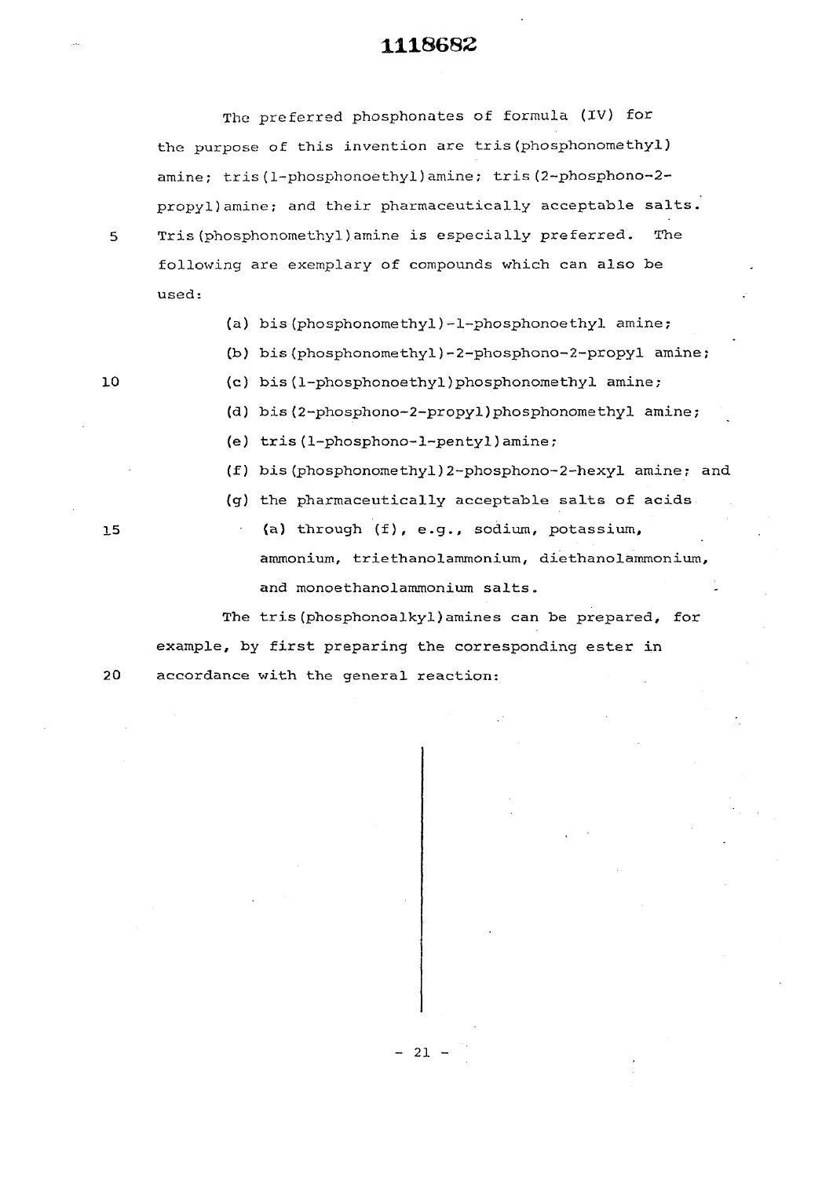The preferred phosphonates of formula (IV) for the purpose of this invention are tris(phosphonomethyl) amine; tris(1-phosphonoethyl)amine; tris(2-phosphono-2 propyl)amine; and their pharmaceutically acceptable salts. 5 Tris (phosphonomethyl)amine is especially preferred. The following are exemplary of compounds which can also be used:

- (a) bis (phosphonomethyl)-1-phosphonoethyl amine;
- (b) bis(phosphonomethyl)-2-phosphono-2-propyl amine;
- 
- 10 (c) bis (1-phosphonoethyl)phosphonomethyl amine;
	- (d) bis (2-phosphono-2-propyl)phosphonomethyl amine;
	- (e) tris (1-phosphono-l-pentyl)amine ;
	- (f) bis (phosphonomethyl)2-phosphono-2-hexyl amine; and
	- (g) the pharmaceutically acceptable salts of acids
- 15 (a) through (f), e.g., sodium, potassium, ammonium, triethanolammonium, diethanolammonium, and monoethanolammonium salts.

The tris(phosphonoalkyl)amines can be prepared, for example, by first preparing the corresponding ester in 20 accordance with the general reaction:

 $-21 -$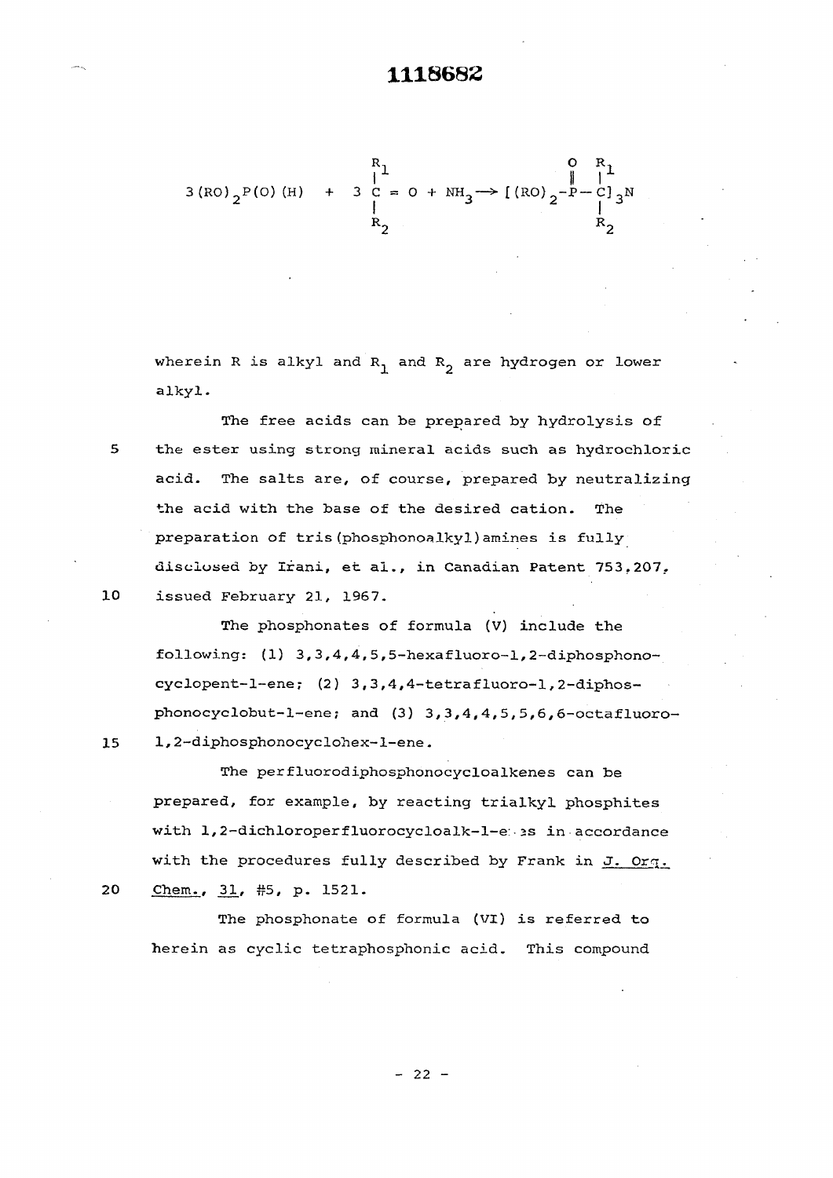$$
3 (RO)_{2}P(O) (H) + 3 C = O + NH_{3} \rightarrow [(RO)_{2} - P - C]_{3}N
$$
  
\n
$$
R_{2}
$$
  
\n
$$
R_{2}
$$

wherein R is alkyl and  $R_1$  and  $R_2$  are hydrogen or lower alkyl.

The free acids can be prepared by hydrolysis of 5 the ester using strong mineral acids such as hydrochloric acid. The salts are, of course, prepared by neutralizing the acid with the base of the desired cation. The preparation of tris (phosphonoaIky1)amines is fully disclosed by Irani, et al., in Canadian Patent 753.207. 10 issued February 21, 1967.

The phosphonates of formula (V) include the following:  $(1)$  3,3,4,4,5,5-hexafluoro-1,2-diphosphonocyclopent-l-ene; (2) 3,3,4,4-tetrafluoro-1,2-diphosphonocyclobut-l-ene; and (3) 3, 3,4, 4,5, 5,6,6-octafluoro-15 1,2-diphosphonocyclohex-l-ene.

The perfluorodiphosphonocycloalkenes can be prepared, for example, by reacting trialkyl phosphites with 1,2-dichloroperfluorocycloalk-l-e: >s in accordance with the procedures fully described by Frank in J. Org. 20 Chem., 31, #5, p. 1521.

The phosphonate of formula (VI) is referred to herein as cyclic tetraphosphonic acid. This compound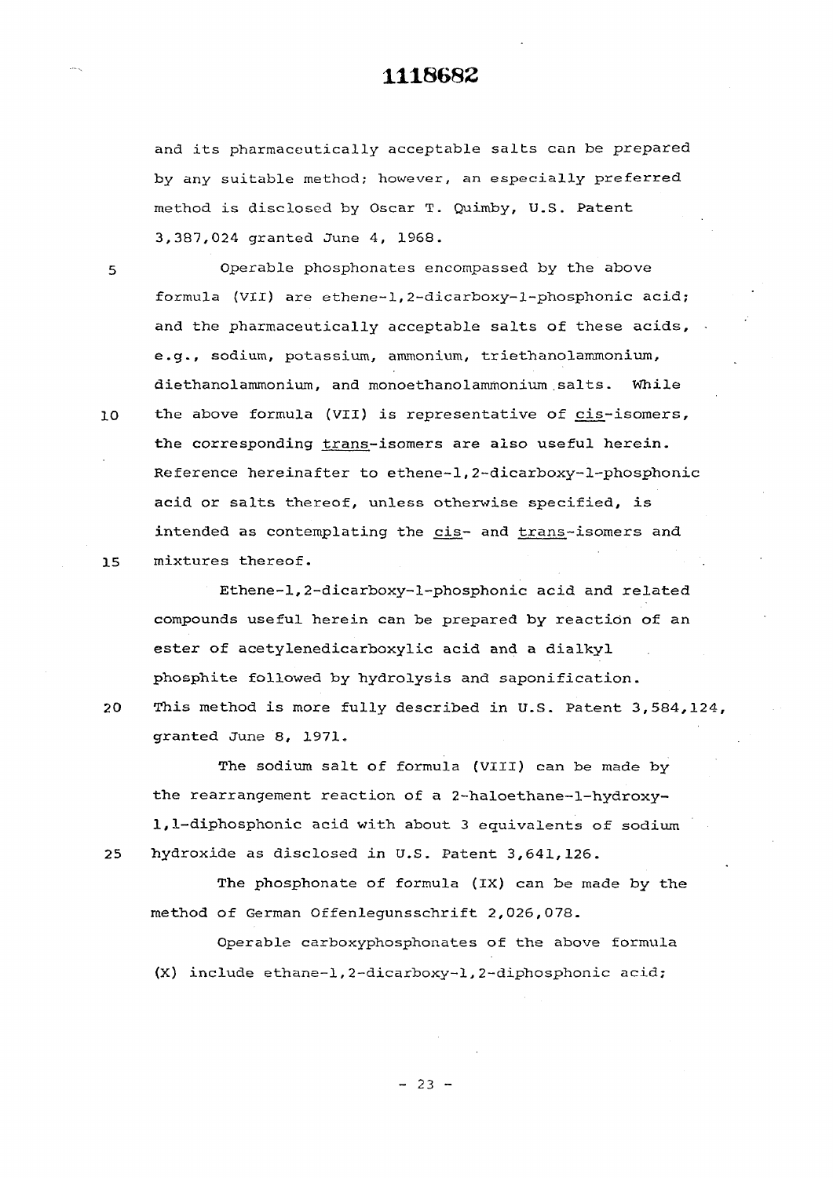and its pharmaceutically acceptable salts can be prepared by any suitable method; however, an especially preferred method is disclosed by Oscar T. Quimby, U.S. Patent 3,387,024 granted June *4,* 1968.

fo rmula (VII) are ethene—1,2—dicarboxy—1—phosphonic acid;

and the pharmaceutically acceptable salts of these acids,

e.g., sodium, potassium, ammonium, triethanolammonium,

5 Operable phosphonates encompassed by the above

diethanolammonium, and monoethanolammonium .salts. While 10 the above formula (VII) is representative of cis-isomers, the corresponding trans-isomers are also useful herein. Reference hereinafter to ethene-1,2-dicarboxy-1-phosphonic acid or salts thereof, unless otherwise specified, is intended as contemplating the cis- and trans-isomers and 15 mixtures thereof.

Ethene-1,2-dicarboxy-l-phosphonic acid and related compounds useful herein can be prepared by reaction of an ester of acetylenedicarboxylic acid and a dialkyl phosphite followed by hydrolysis and saponification.

20 This method is more fully described in U.S. Patent 3,584,124,

granted June 8, 1971.

The sodium salt of formula (VIII) can be made by the rearrangement reaction of a 2-haloethane-l-hydroxy-1,1-diphosphonic acid with about 3 equivalents of sodium 25 hydroxide as disclosed in U.S. Patent 3,641,126.

The phosphonate of formula (IX) can be made by the method of German Offenlegunsschrift 2,026,078.

Operable carboxyphosphonates of the above formula (X) include ethane-1,2-dicarboxy-l,2-diphosphonic acid;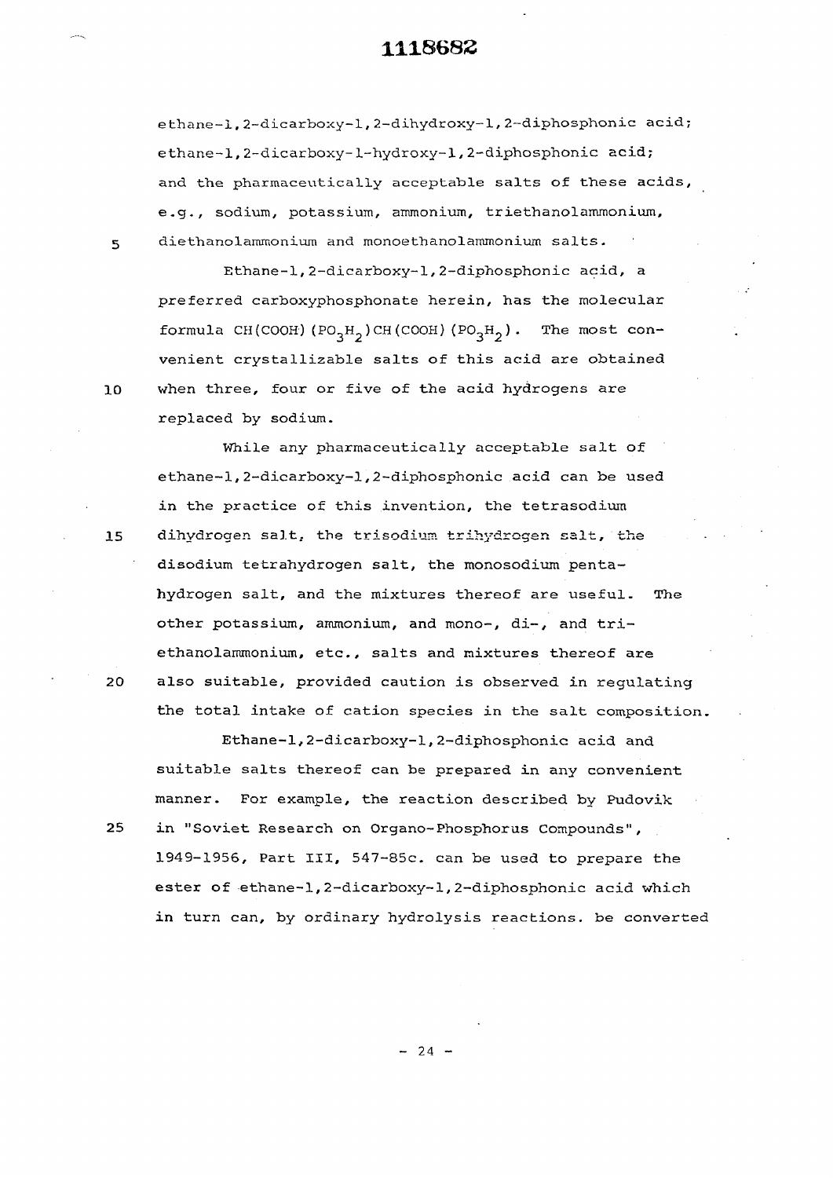ethane-1, 2-dicarboxy-l, 2-dihydroxy-1, 2-diphosphonic acid; ethane-1,2-dicarboxy-1-hydroxy-l,2-diphosphonic acid; and the pharmaceutically acceptable salts of these acids, e.g., sodium, potassium, ammonium, triethanolammonium, **5** diethanolammonium and monoethanolammonium salts.

Ethane-1,2-dicarboxy-l,2-diphosphonic acid, a preferred carboxyphosphonate herein, has the molecular formula **CÎÎ (COOH) (P0<sup>3</sup> H2 ) CH (COOH) (P0<sup>3</sup> H2** ) . The mos t convenient crystallizable salts of this acid are obtained 10 when three, four or five of the acid hydrogens are replaced by sodium.

While any pharmaceutically acceptable salt of ethane-1,2-dicarboxy-l,2-diphosphonic acid can be used in the practice of this invention, the tetrasodium 15 dihvdrogen salt, the trisodium trihydrogen salt, the disodium tetrahydrogen salt, the monosodium pentahydrogen salt, and the mixtures thereof are useful. The other potassium, ammonium, and mono-, di-, and triethanolammonium, etc., salts and mixtures thereof are 20 also suitable, provided caution is observed in regulating the total intake of cation species in the salt composition.

Ethane-1,2-dicarboxy-l,2-diphosphonic acid and suitable salts thereof can be prepared in any convenient manner. For example, the reaction described by Pudovik 25 in "Soviet Research on Organo-Phosphorus Compounds", 1949-1956, Part III, 547-85c. can be used to prepare the ester of ethane-1,2-dicarboxy-l,2-diphosphonic acid which in turn can, by ordinary hydrolysis reactions, be converted

 $- 24 -$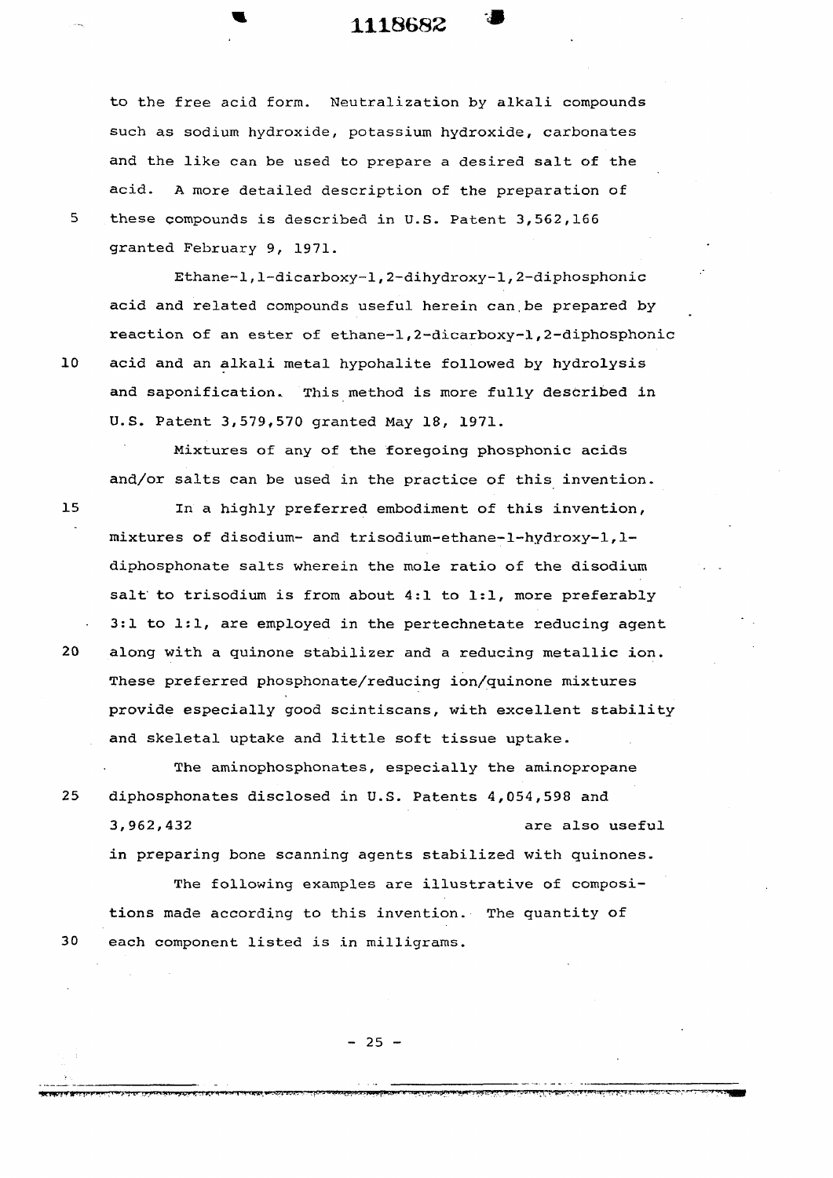#### **1118682 )**

to the free acid form. Neutralization by alkali compounds such as sodium hydroxide, potassium hydroxide, carbonates and the like can be used to prepare a desired salt of the acid. A more detailed description of the preparation of these compounds is described in U.S. Patent 3,562,166 granted February 9, 1971.

Ethane-1,1-dicarboxy-l,2-dihydroxy-l,2-diphosphonic acid and related compounds useful herein can.be prepared by reaction of an ester of ethane-1,2-dicarboxy-l,2-diphosphonic acid and an alkali metal hypohalite followed by hydrolysis and saponification. This method is more fully described in U.S. Patent 3,579,570 granted May 18, 1971.

Mixtures of any of the foregoing phosphonic acids and/or salts can be used in the practice of this invention.

In a highly preferred embodiment of this invention, mixtures of disodium- and trisodium-ethane-l-hydroxy-1,1 diphosphonate salts wherein the mole ratio of the disodium salt to trisodium is from about 4:1 to 1:1, more preferably 3:1 to 1:1, are employed in the pertechnetate reducing agent along with a quinone stabilizer and a reducing metallic ion. These preferred phosphonate/reducing ion/quinone mixtures provide especially good scintiscans, with excellent stability and skeletal uptake and little soft tissue uptake.

The aminophosphonates, especially the aminopropane 25 diphosphonates disclosed in U.S. Patents 4,054,598 and 3,962,432 are also useful in preparing bone scanning agents stabilized with quinones.

The following examples are illustrative of compositions made according to this invention. The quantity of each component listed is in milligrams.

 $10$ 

5

20

 $15$ 

30

 $- 25 -$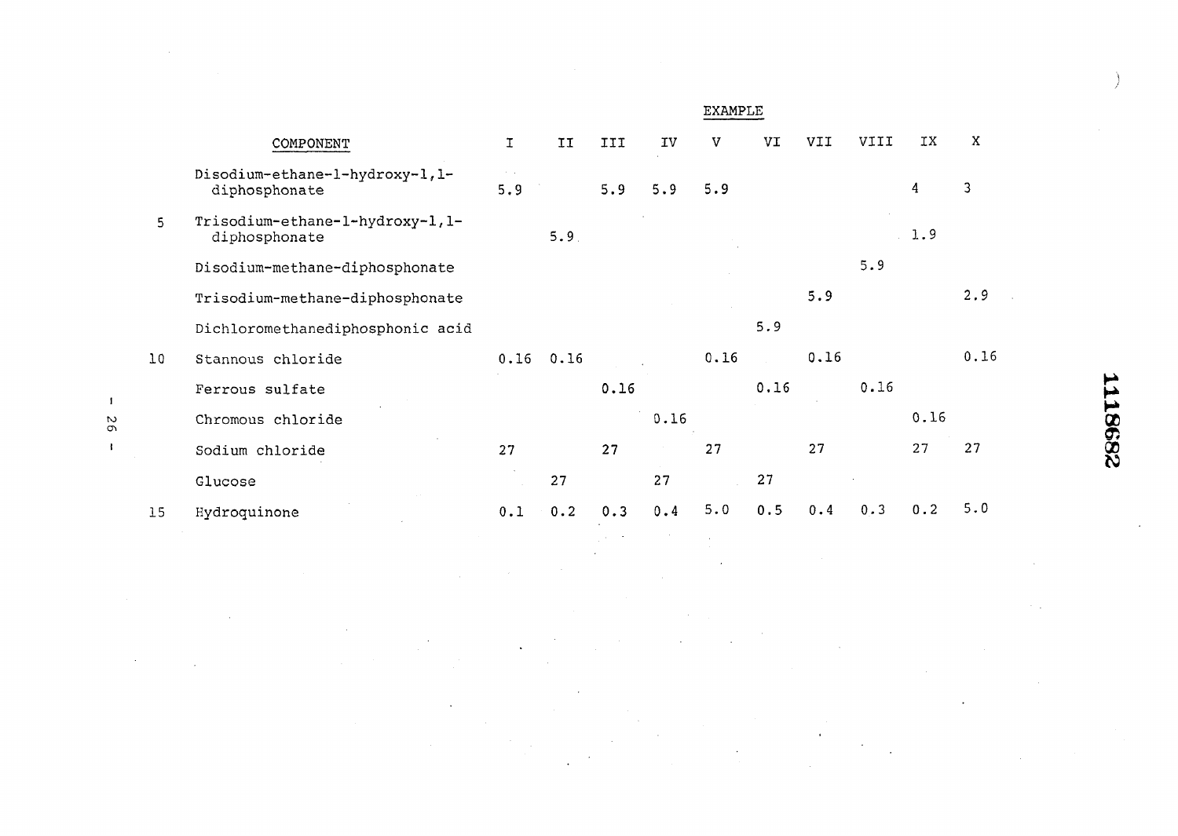|    |    |                                                   |                                    |      |      |      | <b>EXAMPLE</b> |      |            |             |                |      |         |
|----|----|---------------------------------------------------|------------------------------------|------|------|------|----------------|------|------------|-------------|----------------|------|---------|
|    |    | COMPONENT                                         | $\mathbf T$                        | II   | III  | IV   | V              | VI   | <b>IIV</b> | <b>IIIV</b> | IX             | X    |         |
|    |    | Disodium-ethane-1-hydroxy-1,1-<br>diphosphonate   | $\mathcal{A}=\mathcal{A}$ .<br>5.9 |      | 5.9  | 5.9  | 5.9            |      |            |             | $\overline{4}$ | 3    |         |
|    | 5  | Trisodium-ethane-1-hydroxy-1, 1-<br>diphosphonate |                                    | 5.9  |      |      |                |      |            |             | 1.9            |      |         |
|    |    | Disodium-methane-diphosphonate                    |                                    |      |      |      |                |      |            | 5.9         |                |      |         |
|    |    | Trisodium-methane-diphosphonate                   |                                    |      |      |      |                |      | 5.9        |             |                | 2.9  |         |
|    |    | Dichloromethanediphosphonic acid                  |                                    |      |      |      |                | 5.9  |            |             |                |      |         |
|    | 10 | Stannous chloride                                 | 0.16                               | 0.16 |      |      | 0.16           |      | 0.16       |             |                | 0.16 |         |
|    |    | Ferrous sulfate                                   |                                    |      | 0.16 |      |                | 0.16 |            | 0.16        |                |      |         |
| Ō, |    | Chromous chloride                                 |                                    |      |      | 0.16 |                |      |            |             | 0.16           |      |         |
|    |    | Sodium chloride                                   | 27                                 |      | 27   |      | 27             |      | 27         |             | 27             | 27   | 2398371 |
|    |    | Glucose                                           |                                    | 27   |      | 27   |                | 27   |            |             |                |      |         |
|    | 15 | Hydroquinone                                      | 0.1                                | 0.2  | 0.3  | 0.4  | 5.0            | 0.5  | 0.4        | 0.3         | 0.2            | 5.0  |         |
|    |    |                                                   |                                    |      |      |      |                |      |            |             |                |      |         |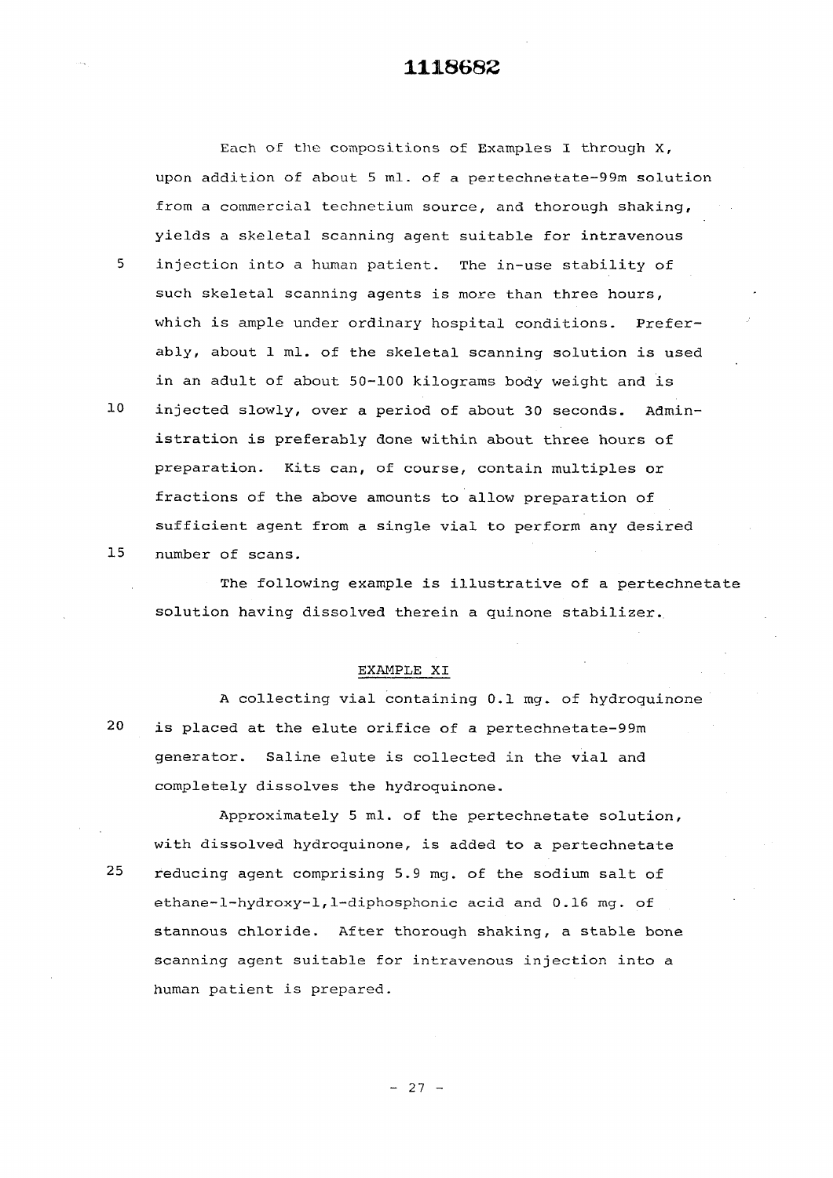**Each of the compositions of Examples I through X, upon addition of about 5 ml. of a pertechnetate-99m solution from a commercial technetium source, and thorough shaking, yields a skeletal scanning agent suitable for intravenous 5 injection into a human patient. The in-use stability of such skeletal scanning agents is more than three hours, which is ample under ordinary hospital conditions. Prefer ably, about 1 ml. of the skeletal scanning solution is used in an adult of about 50-100 kilograms body weight and is** 

**10 injected slowly, over a period of about 30 seconds. Admin istration is preferably done within about three hours of preparation. Kits can, of course, contain multiples or fractions of the above amounts to allow preparation of sufficient agent from a single vial to perform any desired 15 number of scans.** 

**The following example is illustrative of a pertechnetate solution having dissolved therein a quinone stabilizer.** 

#### **EXAMPLE XI**

**A collecting vial containing 0.1 mg. of hydroquinone 20 is placed at the elute orifice of a pertechnetate-99m generator. Saline elute is collected in the vial and completely dissolves the hydroquinone.** 

**Approximately 5 ml. of the pertechnetate solution,**  with dissolved hydroquinone, is added to a pertechnetate **25 reducing agent comprising 5.9 mg. of the sodium salt of ethane-l-hydroxy-1,1-diphosphonic acid and 0.16 mg. of stannous chloride. After thorough shaking, a stable bone scanning agent suitable for intravenous injection into a human patient is prepared.**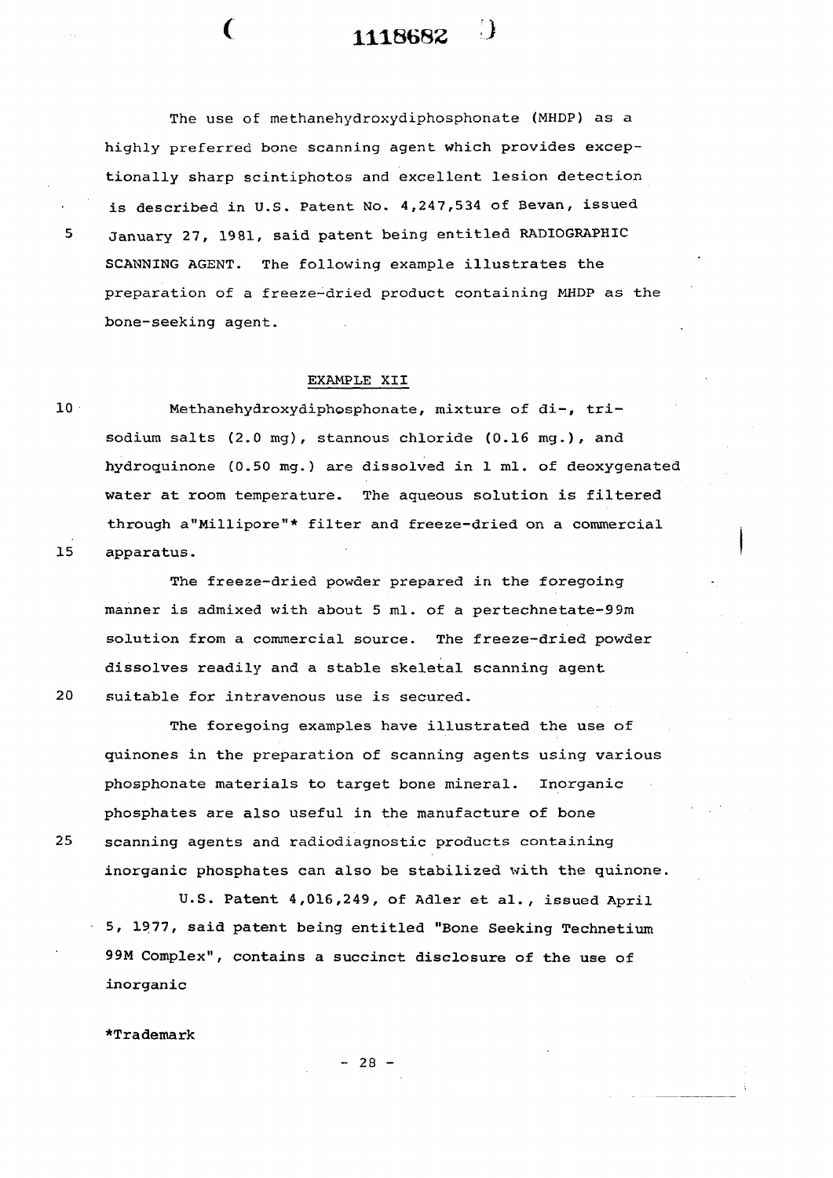The use of methanehydroxydiphosphonate (MHDP) as a highly preferred bone scanning agent which provides exceptionally sharp scintiphotos and excellent lesion detection is described in U.S. Patent No. 4,247,534 of Bevan, issued 5 January 27, 1981, said patent being entitled RADIOGRAPHIC SCANNING AGENT. The following example illustrates the preparation of a freeze-dried product containing MHDP as the bone-seeking agent.

( **1118682 J** 

#### EXAMPLE XII

10 Methanehydroxydiphosphonate, mixture of di-, trisodium salts (2.0 mg), stannous chloride (0.16 mg.), and hydroquinone (0.50 mg. ) are dissolved in 1 ml. of deoxygenated water at room temperature. The aqueous solution is filtered through a"Millipore"\* filter and freeze-dried on a commercial 15 apparatus.

The freeze-dried powder prepared in the foregoing manner is admixed with about 5 ml. of a pertechnetate-99m solution from a commercial source. The freeze-dried powder dissolves readily and a stable skeletal scanning agent 20 suitable for intravenous use is secured.

The foregoing examples have illustrated the use of quinones in the preparation of scanning agents using various phosphonate materials to target bone mineral. Inorganic phosphates are also useful in the manufacture of bone 25 scanning agents and radiodiagnostic products containing inorganic phosphates can also be stabilized with the quinone.

U.S. Patent 4,016,249, of Adler et al., issued April 5, 1977, said patent being entitled "Bone Seeking Technetium 99M Complex", contains a succinct disclosure of the use of inorganic

 $*$ Trademark

 $- 28 -$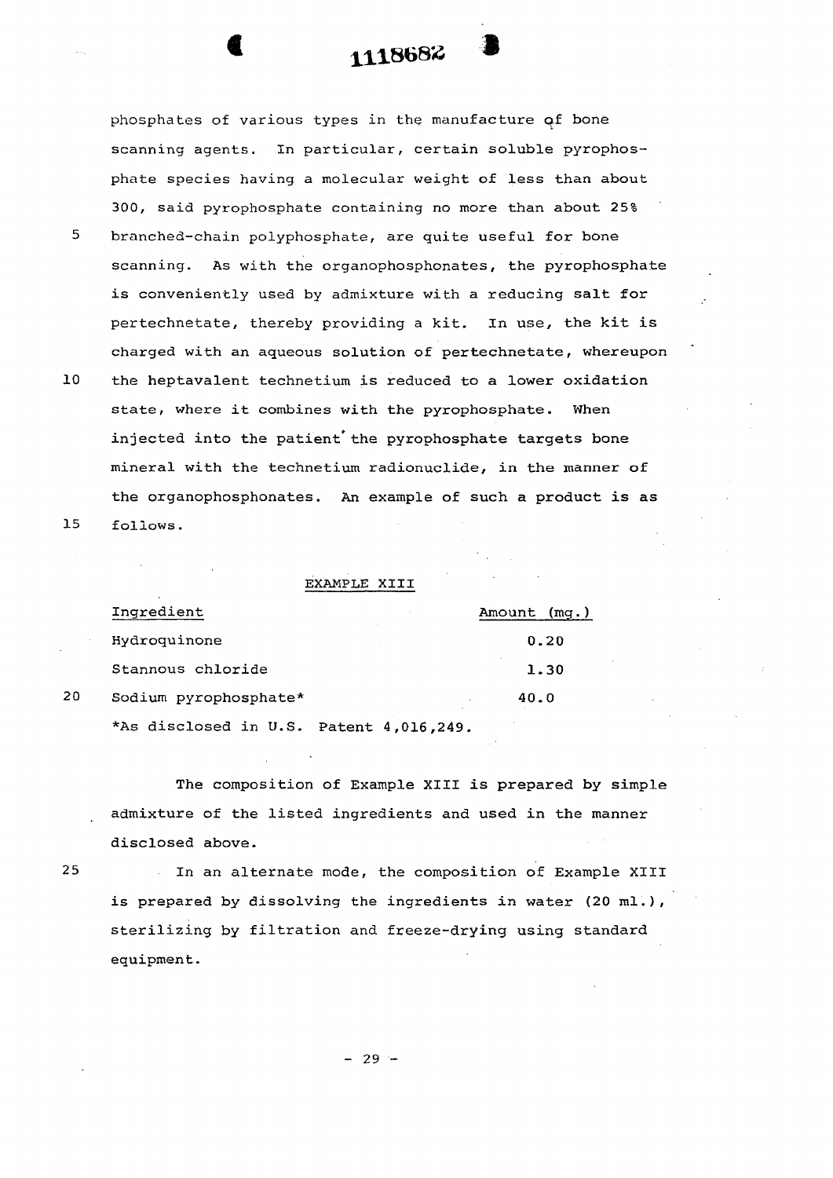phosphates of various types in the manufacture of bone scanning agents. In particular, certain soluble pyrophosphate species having a molecular weight of less than about 300, said pyrophosphate containing no more than about 25%

- 5 branched-chain polyphosphate, are quite useful for bone scanning. As with the organophosphonates, the pyrophosphate is conveniently used by admixture with a reducing salt for pertechnetate, thereby providing a kit. In use, the kit is charged with an aqueous solution of pertechnetate, whereupon
- 10 the heptavalent technetium is reduced to a lower oxidation state, where it combines with the pyrophosphate. When injected into the patient'the pyrophosphate targets bone mineral with the technetium radionuclide, in the manner of the organophosphonates. An example of such a product is as 15 follows.

EXAMPLE XIII

|    | Ingredient                              | Amount (mq.) |
|----|-----------------------------------------|--------------|
|    | Hydroquinone                            | 0.20         |
|    | Stannous chloride                       | 1.30         |
| 20 | Sodium pyrophosphate*                   | 40.0         |
|    | *As disclosed in U.S. Patent 4,016,249. |              |

The composition of Example XIII is prepared by simple admixture of the listed ingredients and used in the manner disclosed above.

25 In an alternate mode, the composition of Example XIII is prepared by dissolving the ingredients in water (20 ml.), sterilizing by filtration and freeze-drying using standard equipment.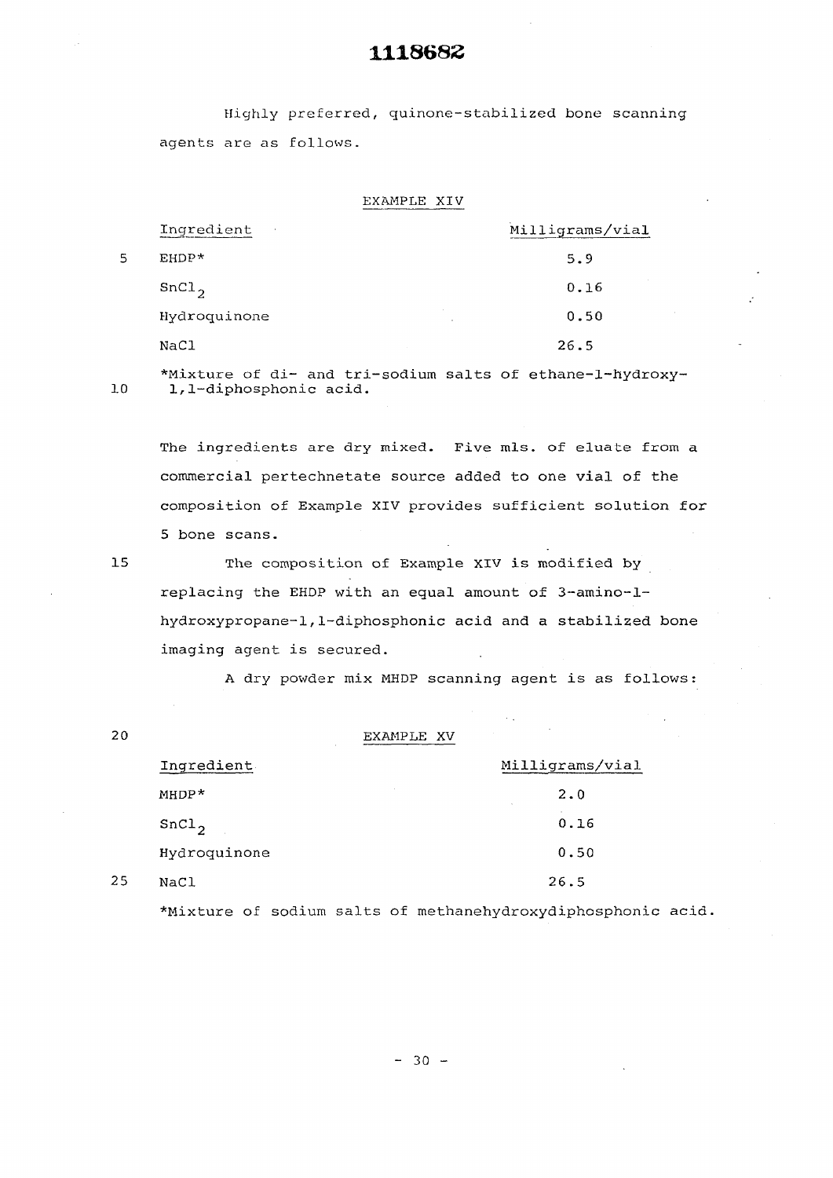Highly preferred, quinone-stabilized bone scanning agents are as follows.

EXAMPLE XIV

| Ingredient<br>$\sim$ | Milligrams/vial |
|----------------------|-----------------|
| EHDP*                | 5.9             |
| SnCl <sub>2</sub>    | 0.16            |
| Hydroquinone         | 0.50            |
| NaCl                 | 26.5            |

5

**\*Mixture of di- and tri-sodium salts of ethane-l-hydroxy-10 1,1-diphosphonic acid.** 

**The ingredients are dry mixed. Five mis. of eluate from a commercial pertechnetate source added to one vial of the composition of Example XIV provides sufficient solution for 5 bone scans.** 

**15 The composition of Example** XIV **is modified by replacing the EHDP with an equal amount of 3-amino-lhydroxypropane-1,1-diphosphonic acid and a stabilized bone imaging agent is secured.** 

**A dry powder mix MHDP scanning agent is as follows:** 

| 20 |                   | EXAMPLE XV      |
|----|-------------------|-----------------|
|    | Ingredient        | Milligrams/vial |
|    | $MHDP*$           | 2.0<br>$\sim$   |
|    | SnCl <sub>2</sub> | 0.16            |
|    | Hydroquinone      | 0.50            |
| 25 | NaCl              | 26.5            |
|    |                   |                 |

**^Mixture of sodium salts of methanehydroxydiphosphonic acid.**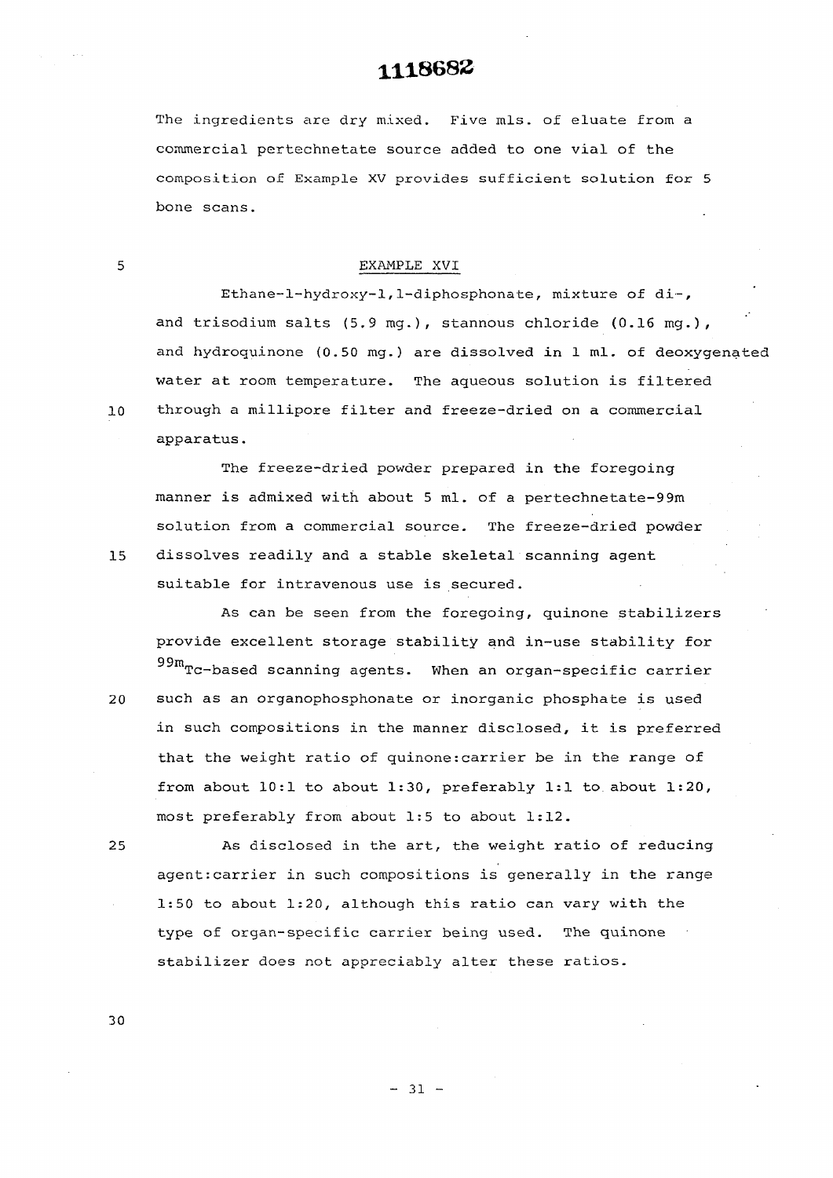**The ingredients are dry mixed. Five mis. of eluate from a commercial pertechnetate source added to one vial of the composition of Example XV provides sufficient solution for 5 bone scans.** 

#### 5 EXAMPLE XVI

**Ethane-l-hydroxy-1,1-diphosphonate, mixture of di~, and trisodium salts (5.9 mg.), stannous chloride (0.16 mg.), and hydroquinone (0.50 mg.) are dissolved in 1 ml. of deoxygenated water at room temperature. The aqueous solution is filtered**  10 **through a millipore filter and freeze-dried on a commercial apparatus.** 

**The freeze-dried powder prepared in the foregoing manner is admixed with about 5 ml. of a pertechnetate-9 9m solution from a commercial source. The freeze-dried powder 15 dissolves readily and a stable skeletal scanning agent suitable for intravenous use is secured.** 

**As can be seen from the foregoing, quinone stabilizers provide excellent storage stability and in—use stability for**  99m<sub>TC</sub>-based scanning agents. When an organ-specific carrier

such as an organophosphonate or inorganic phosphate is used in such compositions in the manner disclosed, it is preferred that the weight ratio of quinone: carrier be in the range of from about 10:1 to about 1:30, preferably 1:1 to about 1:20, most preferably from about 1:5 to about 1:12.

As disclosed in the art, the weight ratio of reducing agent: carrier in such compositions is generally in the range 1:50 to about 1:20, although this ratio can vary with the type of organ-specific carrier being used. The quinone stabilizer does not appreciably alter these ratios.

20

25

30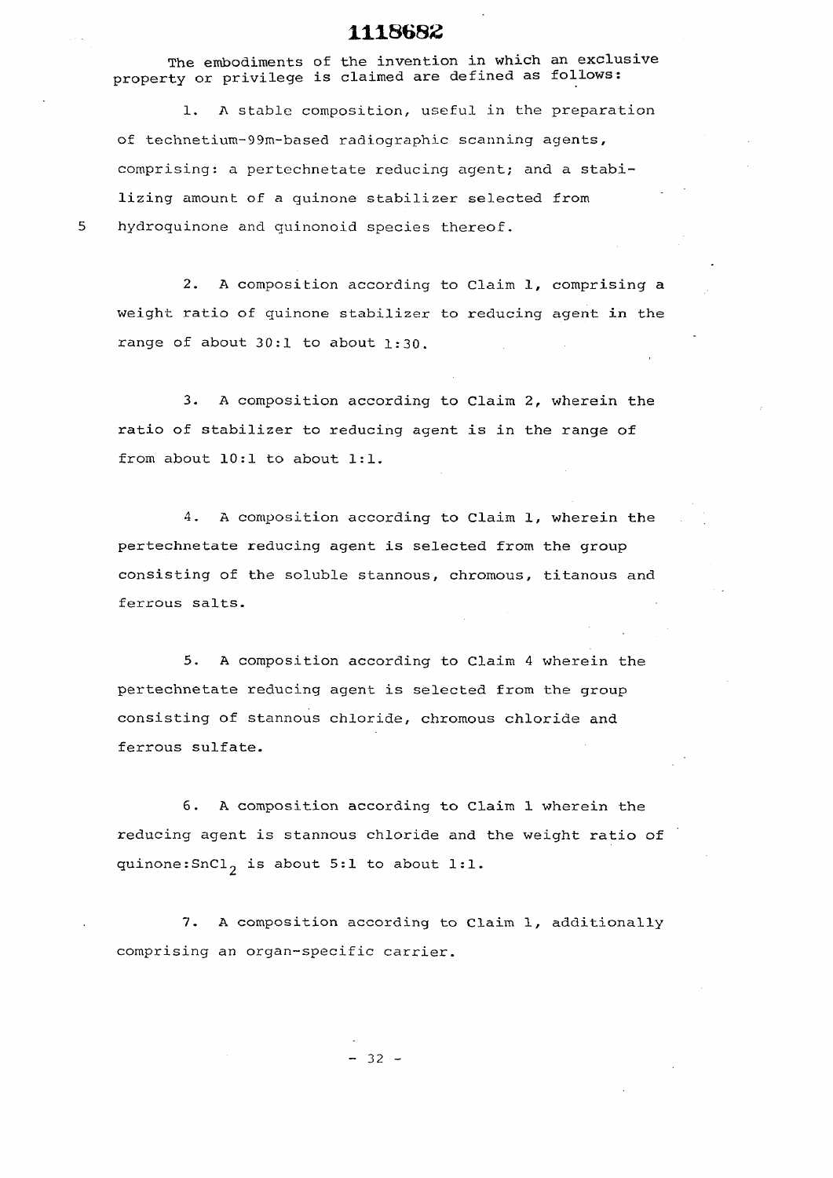**The embodiments of the invention in which an exclusive property or privilege is claimed are defined as follows:** 

**1. A stable composition, useful in the preparation of technetium-99m-based radiographic scanning agents, comprising: a pertechnetate reducing agent; and a stabilizing amount of a quinone stabilizer selected from hydroquinone and quinonoid species thereof.** 

5

**2. A composition according to Claim 1, comprising a weight ratio of guinone stabilizer to reducing agent in the range of about 30:1 to about 1:30.** 

**3. A composition according to Claim 2, wherein the ratio of stabilizer to reducing agent is in the range of from about 10:1 to about 1:1.** 

**4. A composition according to Claim 1, wherein the pertechnetate reducing agent is selected from the group consisting of the soluble stannous, chromous, titanous and ferrous salts.** 

**5. A composition according to Claim 4 wherein the pertechnetate reducing agent is selected from the group consisting of stannous chloride, chromous chloride and ferrous sulfate.** 

**6. A composition according to Claim 1 wherein the reducing agent is stannous chloride and the weight ratio of quinone : SnC ^ is about 5:1 to about 1:1.** 

**7. A composition according to Claim 1, additionally comprising an organ-specific carrier.** 

 $- 32 -$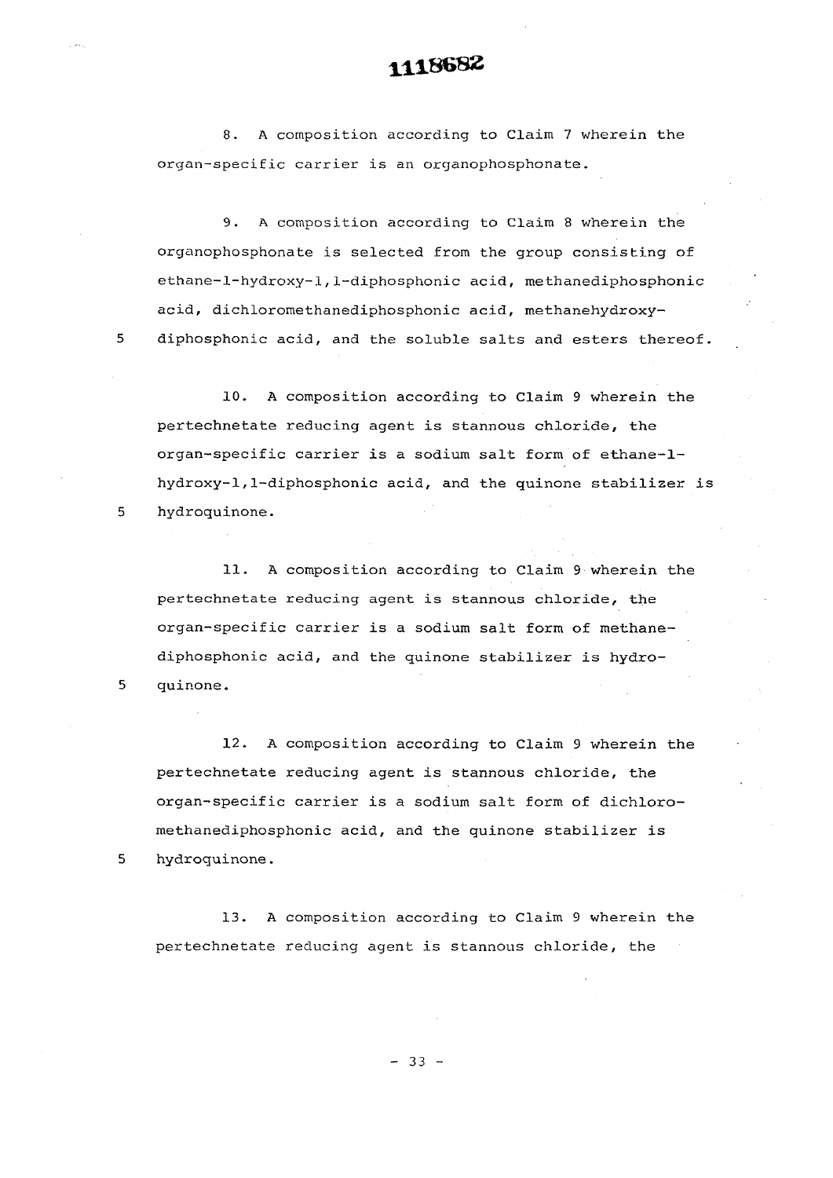**8. A composition according to Claim 7 wherein the organ-specific carrier is an organophosphonate.** 

**9. A composition according to Claim 8 wherein the organophosphonate is selected from the group consisting of ethane-l-hydroxy-1,1-diphosphonic acid, methanediphosphonic acid, dichloromethanediphosphonic acid, methanehydroxy-5 diphosphonic acid, and the soluble salts and esters thereof.** 

**10. A composition according to Claim 9 wherein the pertechnetate reducing agent is stannous chloride, the organ-specific carrier is a sodium salt form of ethane-lhydroxy-1 ,1-diphosphonic acid, and the quinone stabilizer is 5 hydroquinone.** 

**11. A composition according to Claim 9 wherein the pertechnetate reducing agent is stannous chloride, the organ-specific carrier is a sodium salt form of methanediphosphonic acid, and the quinone stabilizer is hydro-5 quinone.** 

**12. A composition according to Claim 9 wherein the pertechnetate reducing agent is stannous chloride, the organ-specific carrier is a sodium salt form of dichloromethanediphosphonic acid, and the quinone stabilizer is 5 hydroquinone.** 

**13. A composition according to Claim 9 wherein the pertechnetate reducing agent is stannous chloride, the** 

 $- 33 -$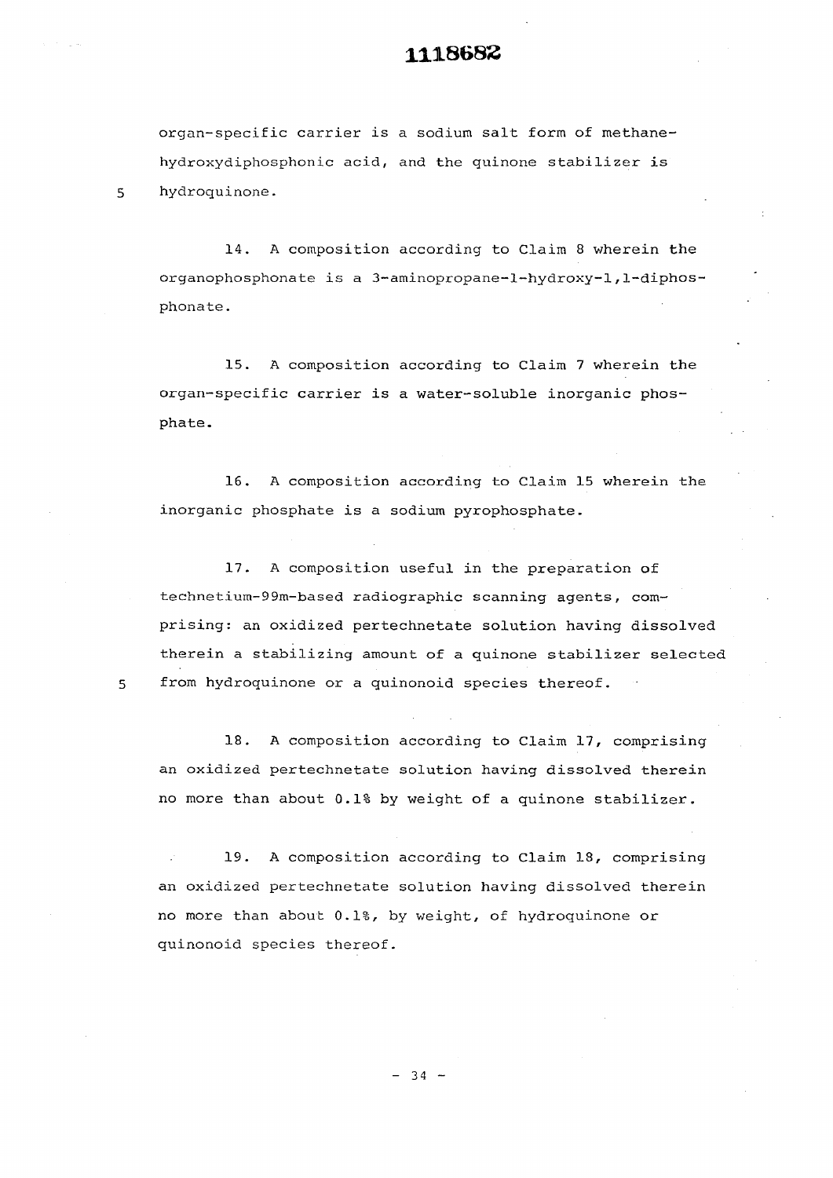**organ-specific carrier is a sodium salt form of methanehydroxydiphosphonic acid, and the guinone stabilizer is hydroquinone.** 

5

 $\overline{5}$ 

**14. A composition according to Claim 8 wherein the organophosphonate is a 3-aminopropane-l-hydroxy-l,1-diphosphonate.** 

**15. A composition according to Claim 7 wherein the organ-specific carrier is a water-soluble inorganic phosphate.** 

**16. A composition according to Claim 15 wherein the inorganic phosphate is a sodium pyrophosphate.** 

**17. A composition useful in the preparation of technetium-99m-based radiographic scanning agents, comprising: an oxidized pertechnetate solution having dissolved there in a stabilizing amount of a quinone stabilizer selected from hydroquinone or a quinonoid species thereof.** 

**18. A composition according to Claim 17, comprising an oxidized pertechnetate solution having dissolved therein no more than about 0.1% by weight of a quinone stabilizer.** 

**19. A composition according to Claim 18, comprising an oxidized pertechnetate solution having dissolved therein no more than about 0.1%, by weight, of hydroquinone or quinonoid species thereof.** 

 $-34 -$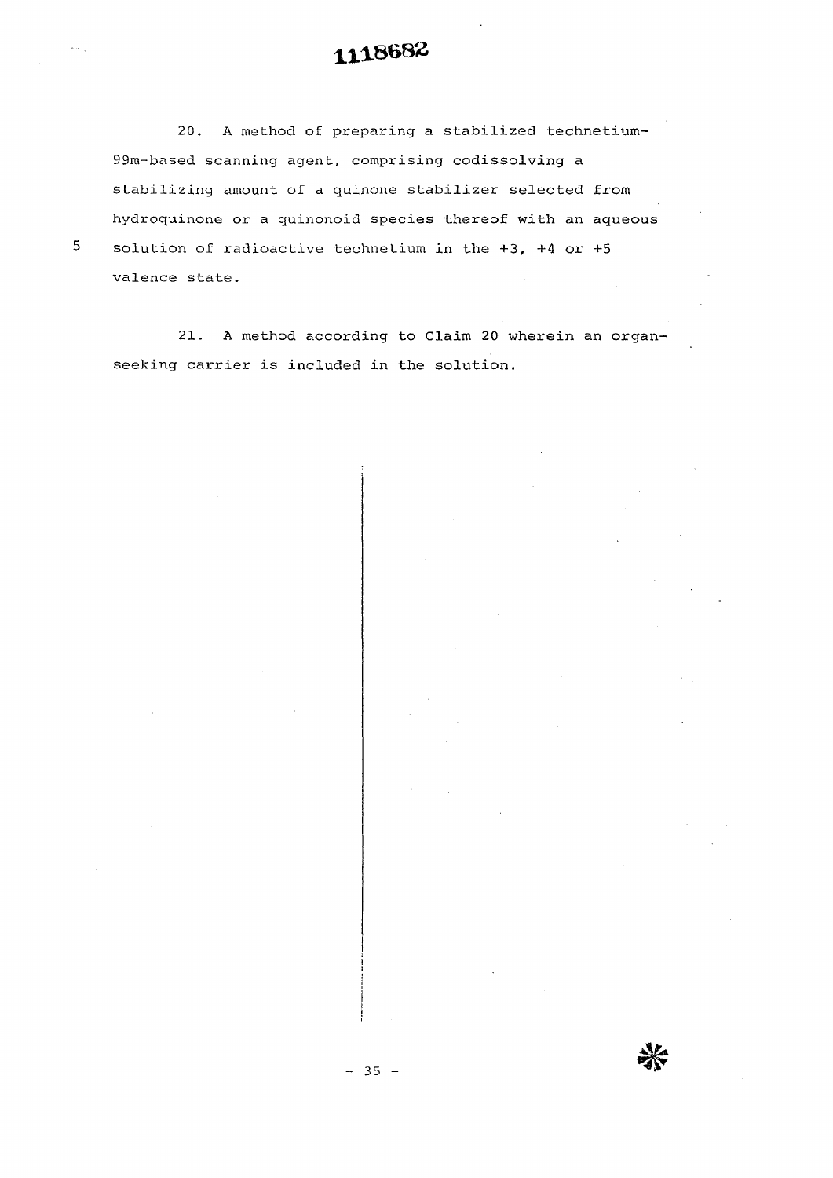**20. A method of preparing a stabilized technetium-99m-based scanning agent, comprising codissolving a stabilizing amount of a quinone stabilizer selected from hydroquinone or a quinonoid species thereof with an aqueous solution of radioactive technetium in the +3, +4 or +5 valence state.** 

5

**21. A method according to Claim 20 wherein an organseeking carrier is included in the solution.**